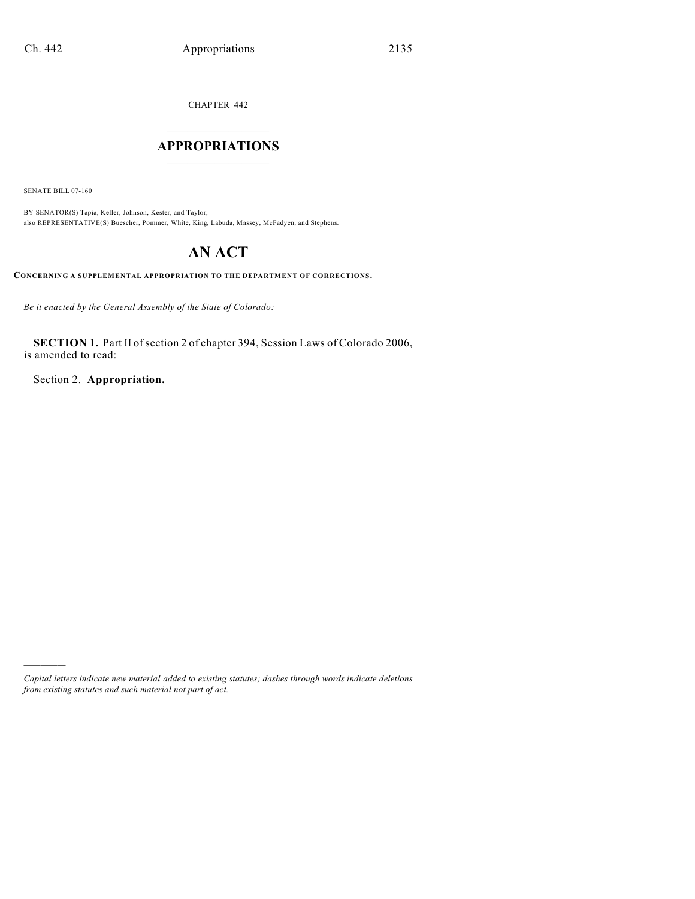CHAPTER 442

# $\mathcal{L}_\text{max}$  . The set of the set of the set of the set of the set of the set of the set of the set of the set of the set of the set of the set of the set of the set of the set of the set of the set of the set of the set **APPROPRIATIONS**  $\_$   $\_$   $\_$   $\_$   $\_$   $\_$   $\_$   $\_$

SENATE BILL 07-160

)))))

BY SENATOR(S) Tapia, Keller, Johnson, Kester, and Taylor; also REPRESENTATIVE(S) Buescher, Pommer, White, King, Labuda, Massey, McFadyen, and Stephens.

# **AN ACT**

**CONCERNING A SUPPLEMENTAL APPROPRIATION TO THE DEPARTMENT OF CORRECTIONS.**

*Be it enacted by the General Assembly of the State of Colorado:*

SECTION 1. Part II of section 2 of chapter 394, Session Laws of Colorado 2006, is amended to read:

Section 2. **Appropriation.**

*Capital letters indicate new material added to existing statutes; dashes through words indicate deletions from existing statutes and such material not part of act.*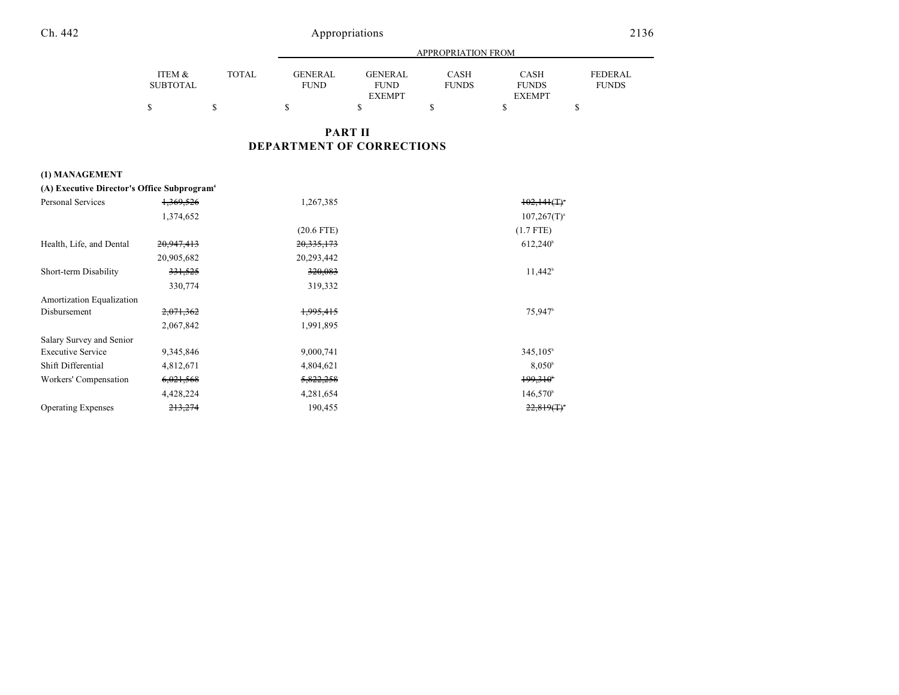|                 |              |             | APPROPRIATION FROM |              |               |                |  |
|-----------------|--------------|-------------|--------------------|--------------|---------------|----------------|--|
| ITEM &          | <b>TOTAL</b> | GENERAL     | <b>GENERAL</b>     | CASH         | <b>CASH</b>   | <b>FEDERAL</b> |  |
| <b>SUBTOTAL</b> |              | <b>FUND</b> | <b>FUND</b>        | <b>FUNDS</b> | <b>FUNDS</b>  | <b>FUNDS</b>   |  |
|                 |              |             | <b>EXEMPT</b>      |              | <b>EXEMPT</b> |                |  |
|                 |              |             |                    |              |               |                |  |

## **PART II DEPARTMENT OF CORRECTIONS**

## **(1) MANAGEMENT**

| (A) Executive Director's Office Subprogram <sup>4</sup> |                      |                      |                            |
|---------------------------------------------------------|----------------------|----------------------|----------------------------|
| Personal Services                                       | <del>1,369,526</del> | 1,267,385            | $102,141($ T) <sup>*</sup> |
|                                                         | 1,374,652            |                      | $107,267(T)^{a}$           |
|                                                         |                      | $(20.6$ FTE)         | $(1.7$ FTE)                |
| Health, Life, and Dental                                | 20,947,413           | 20,335,173           | $612,240^{\circ}$          |
|                                                         | 20,905,682           | 20,293,442           |                            |
| Short-term Disability                                   | <del>331,525</del>   | <del>320,083</del>   | $11,442^b$                 |
|                                                         | 330,774              | 319,332              |                            |
| Amortization Equalization                               |                      |                      |                            |
| Disbursement                                            | 2,071,362            | <del>1,995,415</del> | 75,947 <sup>b</sup>        |
|                                                         | 2,067,842            | 1,991,895            |                            |
| Salary Survey and Senior                                |                      |                      |                            |
| <b>Executive Service</b>                                | 9,345,846            | 9,000,741            | 345,105 <sup>b</sup>       |
| Shift Differential                                      | 4,812,671            | 4,804,621            | $8,050^{\circ}$            |
| Workers' Compensation                                   | 6,021,568            | 5,822,258            | 199,310                    |
|                                                         | 4,428,224            | 4,281,654            | $146,570^{\circ}$          |
| <b>Operating Expenses</b>                               | <del>213,274</del>   | 190,455              | $22,819($ T) <sup>*</sup>  |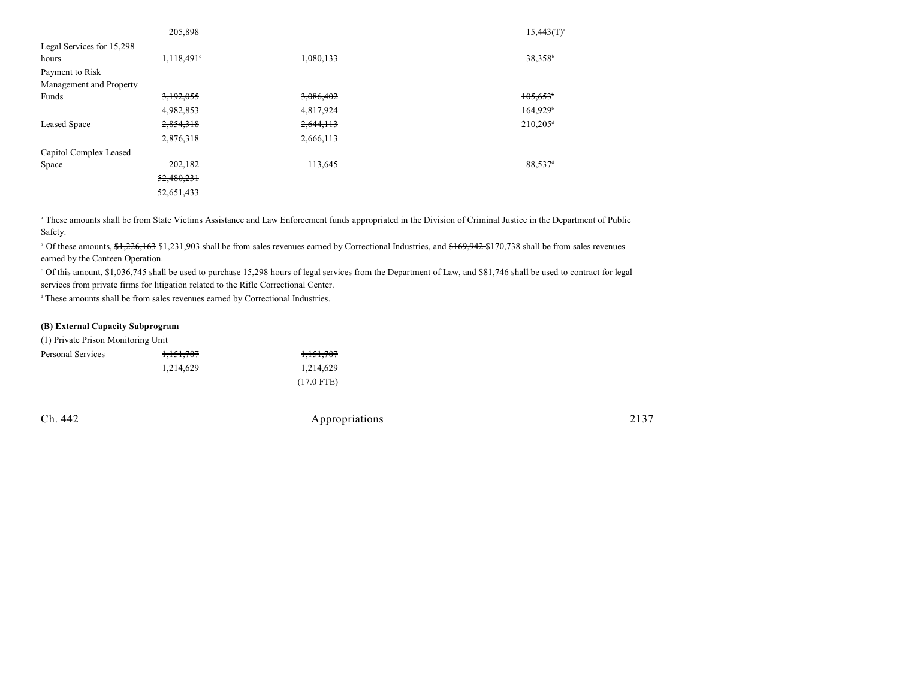|                           | 205,898                  |           | $15,443(T)^{a}$      |
|---------------------------|--------------------------|-----------|----------------------|
| Legal Services for 15,298 |                          |           |                      |
| hours                     | $1,118,491$ <sup>c</sup> | 1,080,133 | 38,358 <sup>b</sup>  |
| Payment to Risk           |                          |           |                      |
| Management and Property   |                          |           |                      |
| Funds                     | 3,192,055                | 3,086,402 | 105,653              |
|                           | 4,982,853                | 4,817,924 | 164,929 <sup>b</sup> |
| <b>Leased Space</b>       | 2,854,318                | 2,644,113 | 210,205 <sup>d</sup> |
|                           | 2,876,318                | 2,666,113 |                      |
| Capitol Complex Leased    |                          |           |                      |
| Space                     | 202,182                  | 113,645   | 88,537 <sup>d</sup>  |
|                           | 52,480,231               |           |                      |
|                           | 52,651,433               |           |                      |

<sup>a</sup> These amounts shall be from State Victims Assistance and Law Enforcement funds appropriated in the Division of Criminal Justice in the Department of Public Safety.

<sup>b</sup> Of these amounts, \$1,226,163 \$1,231,903 shall be from sales revenues earned by Correctional Industries, and \$169,942 \$170,738 shall be from sales revenues earned by the Canteen Operation.

 Of this amount, \$1,036,745 shall be used to purchase 15,298 hours of legal services from the Department of Law, and \$81,746 shall be used to contract for legal <sup>c</sup> services from private firms for litigation related to the Rifle Correctional Center.

<sup>d</sup> These amounts shall be from sales revenues earned by Correctional Industries.

#### **(B) External Capacity Subprogram**

(1) Private Prison Monitoring Unit

| Personal Services | 1,151,787 | <del>1,151,787</del> |
|-------------------|-----------|----------------------|
|                   | 1.214.629 | 1,214,629            |
|                   |           | $(+7.0$ FTE)         |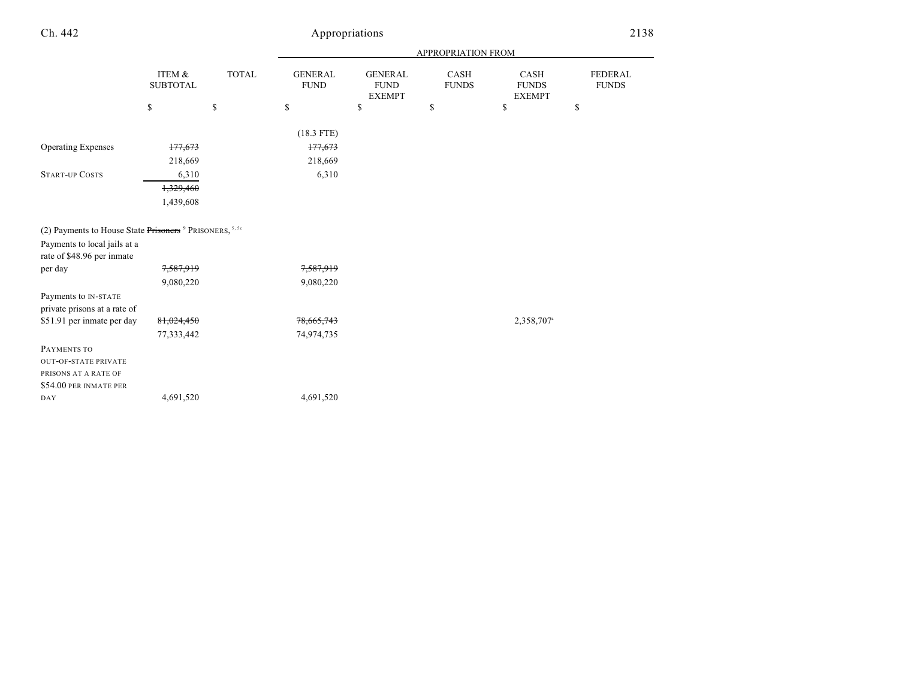# Appropriations 2138

|                                                                     |                           |              |                               |                                                | APPROPRIATION FROM   |                                       |                                |
|---------------------------------------------------------------------|---------------------------|--------------|-------------------------------|------------------------------------------------|----------------------|---------------------------------------|--------------------------------|
|                                                                     | ITEM &<br><b>SUBTOTAL</b> | <b>TOTAL</b> | <b>GENERAL</b><br><b>FUND</b> | <b>GENERAL</b><br><b>FUND</b><br><b>EXEMPT</b> | CASH<br><b>FUNDS</b> | CASH<br><b>FUNDS</b><br><b>EXEMPT</b> | <b>FEDERAL</b><br><b>FUNDS</b> |
|                                                                     | \$                        | \$           | \$                            | \$                                             | \$                   | \$                                    | \$                             |
|                                                                     |                           |              |                               |                                                |                      |                                       |                                |
|                                                                     |                           |              | $(18.3$ FTE)                  |                                                |                      |                                       |                                |
| <b>Operating Expenses</b>                                           | 177,673                   |              | 177,673                       |                                                |                      |                                       |                                |
|                                                                     | 218,669                   |              | 218,669                       |                                                |                      |                                       |                                |
| <b>START-UP COSTS</b>                                               | 6,310                     |              | 6,310                         |                                                |                      |                                       |                                |
|                                                                     | 1,329,460                 |              |                               |                                                |                      |                                       |                                |
|                                                                     | 1,439,608                 |              |                               |                                                |                      |                                       |                                |
|                                                                     |                           |              |                               |                                                |                      |                                       |                                |
| (2) Payments to House State Prisoners <sup>5</sup> PRISONERS, 5, 5c |                           |              |                               |                                                |                      |                                       |                                |
| Payments to local jails at a                                        |                           |              |                               |                                                |                      |                                       |                                |
| rate of \$48.96 per inmate                                          |                           |              |                               |                                                |                      |                                       |                                |
| per day                                                             | 7,587,919                 |              | 7,587,919                     |                                                |                      |                                       |                                |
|                                                                     | 9,080,220                 |              | 9,080,220                     |                                                |                      |                                       |                                |
| Payments to IN-STATE                                                |                           |              |                               |                                                |                      |                                       |                                |
| private prisons at a rate of                                        |                           |              |                               |                                                |                      |                                       |                                |
| \$51.91 per inmate per day                                          | 81,024,450                |              | 78,665,743                    |                                                |                      | 2,358,707 <sup>a</sup>                |                                |
|                                                                     | 77,333,442                |              | 74,974,735                    |                                                |                      |                                       |                                |
| PAYMENTS TO                                                         |                           |              |                               |                                                |                      |                                       |                                |
| <b>OUT-OF-STATE PRIVATE</b>                                         |                           |              |                               |                                                |                      |                                       |                                |
| PRISONS AT A RATE OF                                                |                           |              |                               |                                                |                      |                                       |                                |
| \$54.00 PER INMATE PER                                              |                           |              |                               |                                                |                      |                                       |                                |
| DAY                                                                 | 4,691,520                 |              | 4,691,520                     |                                                |                      |                                       |                                |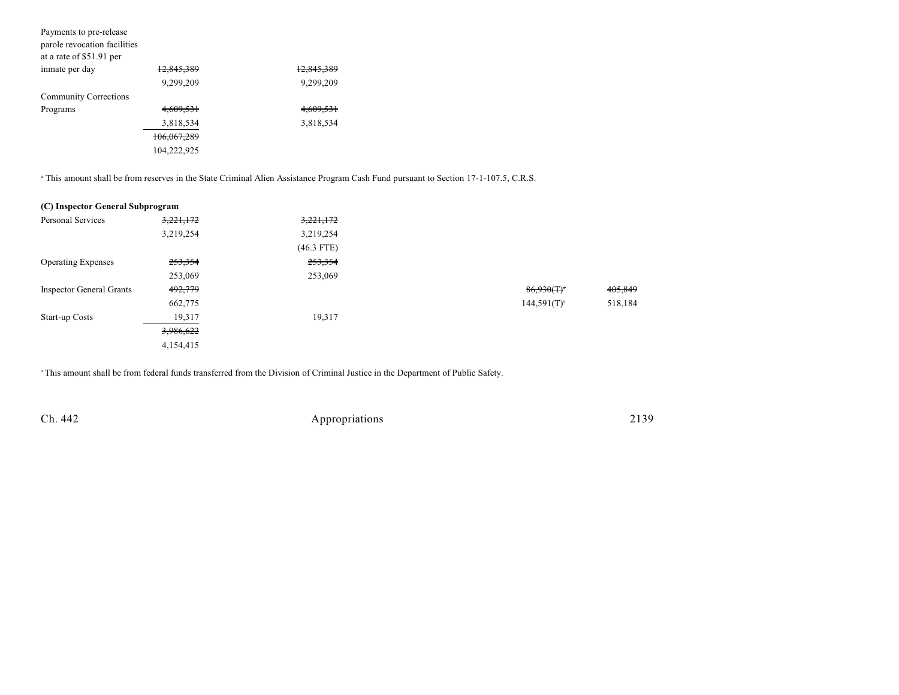| Payments to pre-release      |             |                       |
|------------------------------|-------------|-----------------------|
| parole revocation facilities |             |                       |
| at a rate of \$51.91 per     |             |                       |
| inmate per day               | 12,845,389  | <del>12,845,389</del> |
|                              | 9.299.209   | 9,299,209             |
| <b>Community Corrections</b> |             |                       |
| Programs                     | 4.609.531   | 4,609,531             |
|                              | 3,818,534   | 3,818,534             |
|                              | 106,067,289 |                       |
|                              | 104,222,925 |                       |
|                              |             |                       |

<sup>a</sup> This amount shall be from reserves in the State Criminal Alien Assistance Program Cash Fund pursuant to Section 17-1-107.5, C.R.S.

| (C) Inspector General Subprogram |           |              |                  |         |
|----------------------------------|-----------|--------------|------------------|---------|
| Personal Services                | 3,221,172 | 3,221,172    |                  |         |
|                                  | 3,219,254 | 3,219,254    |                  |         |
|                                  |           | $(46.3$ FTE) |                  |         |
| <b>Operating Expenses</b>        | 253,354   | 253,354      |                  |         |
|                                  | 253,069   | 253,069      |                  |         |
| <b>Inspector General Grants</b>  | 492,779   |              | $86,930(T)^*$    | 405,849 |
|                                  | 662,775   |              | $144,591(T)^{a}$ | 518,184 |
| Start-up Costs                   | 19,317    | 19,317       |                  |         |
|                                  | 3,986,622 |              |                  |         |
|                                  | 4,154,415 |              |                  |         |

<sup>a</sup> This amount shall be from federal funds transferred from the Division of Criminal Justice in the Department of Public Safety.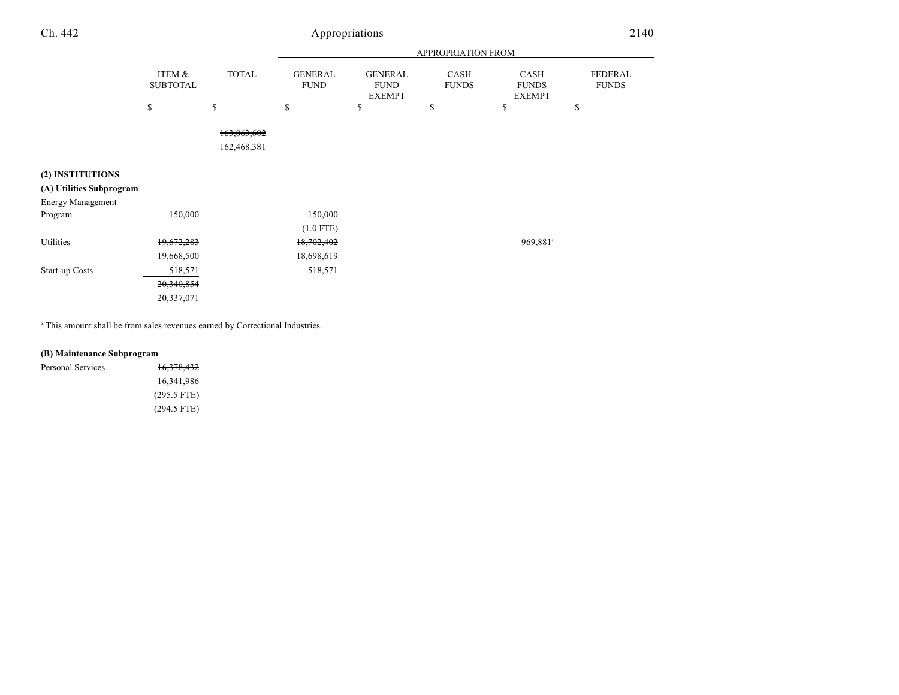|                          |                           |                            | APPROPRIATION FROM            |                                                |                      |                                       |                         |
|--------------------------|---------------------------|----------------------------|-------------------------------|------------------------------------------------|----------------------|---------------------------------------|-------------------------|
|                          | ITEM &<br><b>SUBTOTAL</b> | <b>TOTAL</b>               | <b>GENERAL</b><br><b>FUND</b> | <b>GENERAL</b><br><b>FUND</b><br><b>EXEMPT</b> | CASH<br><b>FUNDS</b> | CASH<br><b>FUNDS</b><br><b>EXEMPT</b> | FEDERAL<br><b>FUNDS</b> |
|                          | \$                        | \$                         | \$                            | \$                                             | \$                   | \$                                    | \$                      |
|                          |                           | 163,863,602<br>162,468,381 |                               |                                                |                      |                                       |                         |
| (2) INSTITUTIONS         |                           |                            |                               |                                                |                      |                                       |                         |
| (A) Utilities Subprogram |                           |                            |                               |                                                |                      |                                       |                         |
| Energy Management        |                           |                            |                               |                                                |                      |                                       |                         |
| Program                  | 150,000                   |                            | 150,000                       |                                                |                      |                                       |                         |
|                          |                           |                            | $(1.0$ FTE)                   |                                                |                      |                                       |                         |
| Utilities                | 19,672,283                |                            | 18,702,402                    |                                                |                      | 969,881 <sup>a</sup>                  |                         |
|                          | 19,668,500                |                            | 18,698,619                    |                                                |                      |                                       |                         |
| Start-up Costs           | 518,571                   |                            | 518,571                       |                                                |                      |                                       |                         |
|                          | 20,340,854                |                            |                               |                                                |                      |                                       |                         |
|                          | 20,337,071                |                            |                               |                                                |                      |                                       |                         |

 $^{\circ}$  This amount shall be from sales revenues earned by Correctional Industries.

## **(B) Maintenance Subprogram**

| Personal Services | 16,378,432            |
|-------------------|-----------------------|
|                   | 16,341,986            |
|                   | $(295.5 \text{ FFE})$ |
|                   | $(294.5$ FTE)         |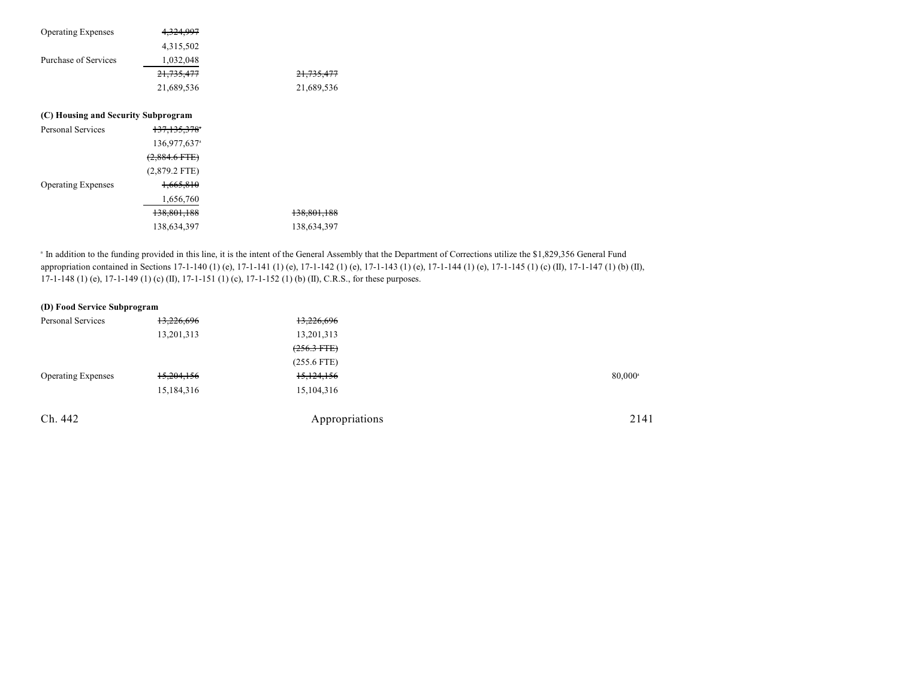| <b>Operating Expenses</b>           | 4,324,997                |                        |
|-------------------------------------|--------------------------|------------------------|
|                                     | 4,315,502                |                        |
| Purchase of Services                | 1,032,048                |                        |
|                                     | 21,735,477               | <del>21,735,477</del>  |
|                                     | 21,689,536               | 21,689,536             |
| (C) Housing and Security Subprogram |                          |                        |
| Personal Services                   | <del>137,135,378</del> * |                        |
|                                     | 136,977,637 <sup>a</sup> |                        |
|                                     | $(2,884.6$ FTE)          |                        |
|                                     | $(2,879.2$ FTE)          |                        |
| <b>Operating Expenses</b>           | 1,665,810                |                        |
|                                     | 1,656,760                |                        |
|                                     | 138,801,188              | <del>138,801,188</del> |
|                                     | 138,634,397              | 138,634,397            |

<sup>a</sup> In addition to the funding provided in this line, it is the intent of the General Assembly that the Department of Corrections utilize the \$1,829,356 General Fund appropriation contained in Sections 17-1-140 (1) (e), 17-1-141 (1) (e), 17-1-142 (1) (e), 17-1-143 (1) (e), 17-1-144 (1) (e), 17-1-145 (1) (c) (II), 17-1-147 (1) (b) (II), 17-1-148 (1) (e), 17-1-149 (1) (c) (II), 17-1-151 (1) (c), 17-1-152 (1) (b) (II), C.R.S., for these purposes.

## **(D) Food Service Subprogram**

| <b>Personal Services</b>  | 13,226,696 | 13,226,696     |                  |
|---------------------------|------------|----------------|------------------|
|                           | 13,201,313 | 13,201,313     |                  |
|                           |            | $(256.3$ FTE)  |                  |
|                           |            | $(255.6$ FTE)  |                  |
| <b>Operating Expenses</b> | 15,204,156 | 15,124,156     | $80,000^{\circ}$ |
|                           | 15,184,316 | 15,104,316     |                  |
| Ch. 442                   |            | Appropriations | 2141             |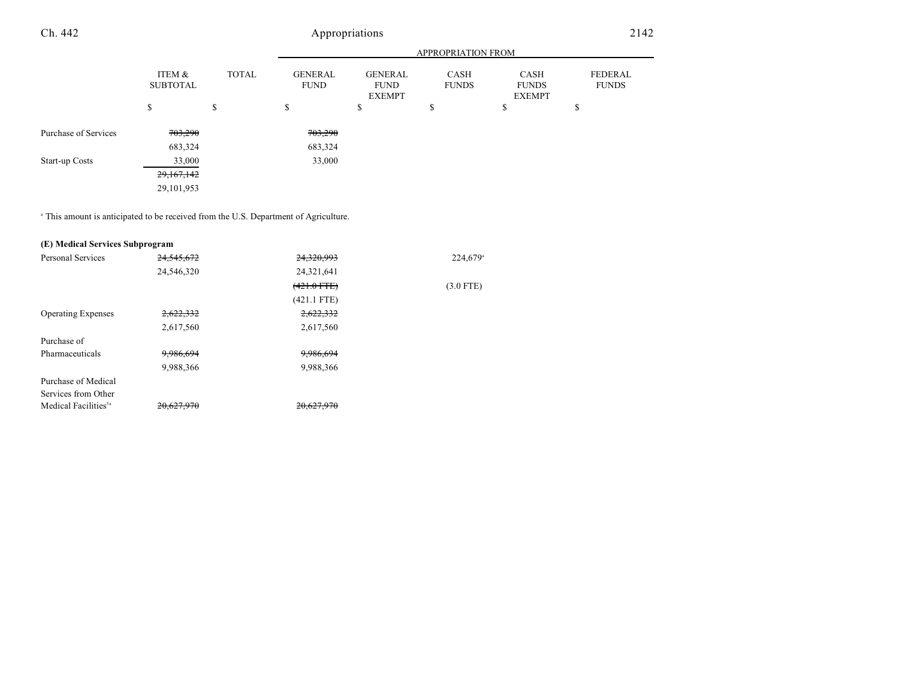|                      |                                           |    | APPROPRIATION FROM                                                              |    |                      |                                              |                         |  |
|----------------------|-------------------------------------------|----|---------------------------------------------------------------------------------|----|----------------------|----------------------------------------------|-------------------------|--|
|                      | ITEM &<br><b>TOTAL</b><br><b>SUBTOTAL</b> |    | <b>GENERAL</b><br><b>GENERAL</b><br><b>FUND</b><br><b>FUND</b><br><b>EXEMPT</b> |    | CASH<br><b>FUNDS</b> | <b>CASH</b><br><b>FUNDS</b><br><b>EXEMPT</b> | FEDERAL<br><b>FUNDS</b> |  |
|                      | \$                                        | \$ | \$                                                                              | \$ | \$                   | \$                                           | ¢<br>D                  |  |
| Purchase of Services | <del>703,290</del>                        |    | 703,290                                                                         |    |                      |                                              |                         |  |
|                      | 683,324                                   |    | 683,324                                                                         |    |                      |                                              |                         |  |
| Start-up Costs       | 33,000                                    |    | 33,000                                                                          |    |                      |                                              |                         |  |
|                      | 29,167,142                                |    |                                                                                 |    |                      |                                              |                         |  |
|                      | 29,101,953                                |    |                                                                                 |    |                      |                                              |                         |  |

<sup>a</sup> This amount is anticipated to be received from the U.S. Department of Agriculture.

#### **(E) Medical Services Subprogram**

| <b>Personal Services</b>         | 24,545,672 | 24,320,993    | 224,679     |
|----------------------------------|------------|---------------|-------------|
|                                  | 24,546,320 | 24,321,641    |             |
|                                  |            | $(421.0$ FTE) | $(3.0$ FTE) |
|                                  |            | $(421.1$ FTE) |             |
| <b>Operating Expenses</b>        | 2,622,332  | 2,622,332     |             |
|                                  | 2,617,560  | 2,617,560     |             |
| Purchase of                      |            |               |             |
| Pharmaceuticals                  | 9,986,694  | 9,986,694     |             |
|                                  | 9,988,366  | 9,988,366     |             |
| Purchase of Medical              |            |               |             |
| Services from Other              |            |               |             |
| Medical Facilities <sup>5a</sup> | 20.627.970 | 20,627,970    |             |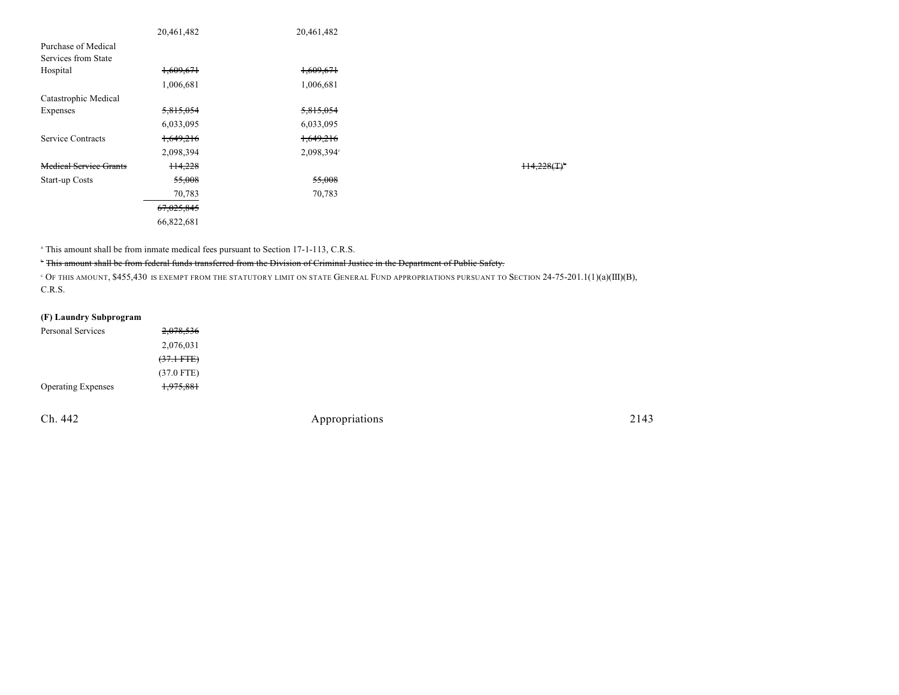|                               | 20,461,482 | 20,461,482 |           |
|-------------------------------|------------|------------|-----------|
| Purchase of Medical           |            |            |           |
| Services from State           |            |            |           |
| Hospital                      | 1,609,671  | 1,609,671  |           |
|                               | 1,006,681  | 1,006,681  |           |
| Catastrophic Medical          |            |            |           |
| Expenses                      | 5,815,054  | 5,815,054  |           |
|                               | 6,033,095  | 6,033,095  |           |
| Service Contracts             | 1,649,216  | 1,649,216  |           |
|                               | 2,098,394  | 2,098,394° |           |
| <b>Medical Service Grants</b> | 114,228    |            | H4.228(T) |
| Start-up Costs                | 55,008     | 55,008     |           |
|                               | 70,783     | 70,783     |           |
|                               | 67,025,845 |            |           |
|                               | 66,822,681 |            |           |

<sup>a</sup> This amount shall be from inmate medical fees pursuant to Section 17-1-113, C.R.S.

#### <sup>r</sup> This amount shall be from federal funds transferred from the Division of Criminal Justice in the Department of Public Safety.

 OF THIS AMOUNT, \$455,430 IS EXEMPT FROM THE STATUTORY LIMIT ON STATE GENERAL FUND APPROPRIATIONS PURSUANT TO SECTION 24-75-201.1(1)(a)(III)(B), <sup>c</sup> C.R.S.

## **(F) Laundry Subprogram**

| 2,078,536            |
|----------------------|
| 2,076,031            |
| $(37.1 \text{ FFE})$ |
| $(37.0$ FTE)         |
| 1,975,881            |
|                      |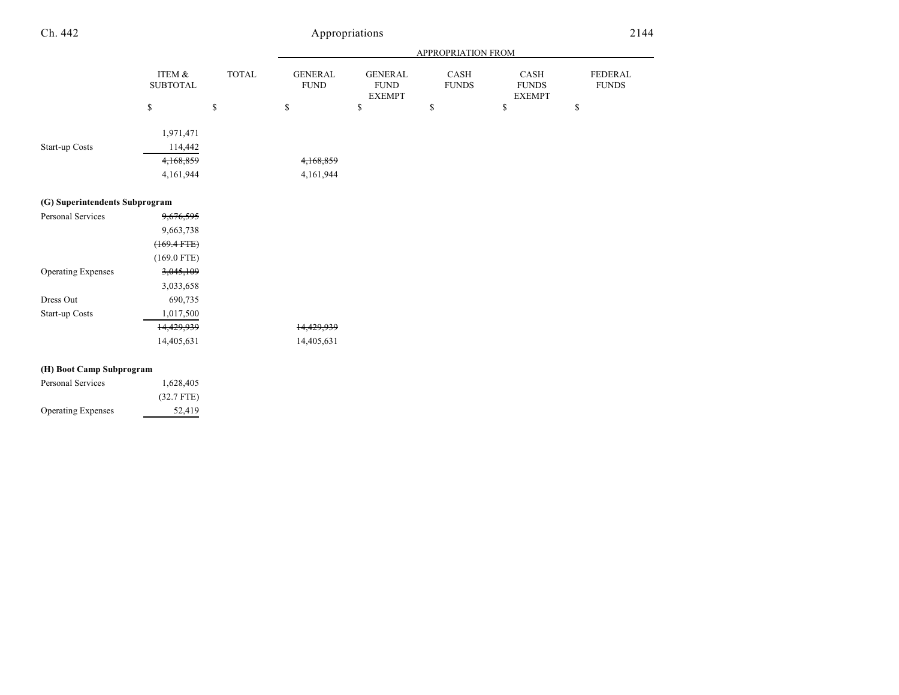|                                                       |                              |              | APPROPRIATION FROM            |                                                |                      |                                       |                         |  |
|-------------------------------------------------------|------------------------------|--------------|-------------------------------|------------------------------------------------|----------------------|---------------------------------------|-------------------------|--|
|                                                       | ITEM $\&$<br><b>SUBTOTAL</b> | <b>TOTAL</b> | <b>GENERAL</b><br><b>FUND</b> | <b>GENERAL</b><br><b>FUND</b><br><b>EXEMPT</b> | CASH<br><b>FUNDS</b> | CASH<br><b>FUNDS</b><br><b>EXEMPT</b> | FEDERAL<br><b>FUNDS</b> |  |
|                                                       | \$                           | \$           | \$                            | \$                                             | \$                   | \$                                    | \$                      |  |
| Start-up Costs                                        | 1,971,471<br>114,442         |              |                               |                                                |                      |                                       |                         |  |
|                                                       | 4,168,859                    |              | 4,168,859                     |                                                |                      |                                       |                         |  |
|                                                       | 4,161,944                    |              | 4,161,944                     |                                                |                      |                                       |                         |  |
| (G) Superintendents Subprogram                        |                              |              |                               |                                                |                      |                                       |                         |  |
| Personal Services                                     | 9,676,595                    |              |                               |                                                |                      |                                       |                         |  |
|                                                       | 9,663,738                    |              |                               |                                                |                      |                                       |                         |  |
|                                                       | $(169.4 FTE)$                |              |                               |                                                |                      |                                       |                         |  |
|                                                       | $(169.0$ FTE)                |              |                               |                                                |                      |                                       |                         |  |
| <b>Operating Expenses</b>                             | 3,045,109                    |              |                               |                                                |                      |                                       |                         |  |
|                                                       | 3,033,658                    |              |                               |                                                |                      |                                       |                         |  |
| Dress Out                                             | 690,735                      |              |                               |                                                |                      |                                       |                         |  |
| Start-up Costs                                        | 1,017,500                    |              |                               |                                                |                      |                                       |                         |  |
|                                                       | 14,429,939                   |              | 14,429,939                    |                                                |                      |                                       |                         |  |
|                                                       | 14,405,631                   |              | 14,405,631                    |                                                |                      |                                       |                         |  |
| $\sigma$ $\sigma$ $\sigma$ $\sigma$ $\sigma$ $\sigma$ |                              |              |                               |                                                |                      |                                       |                         |  |

#### **(H) Boot Camp Subprogram**

| Personal Services         | 1,628,405    |
|---------------------------|--------------|
|                           | $(32.7$ FTE) |
| <b>Operating Expenses</b> | 52.419       |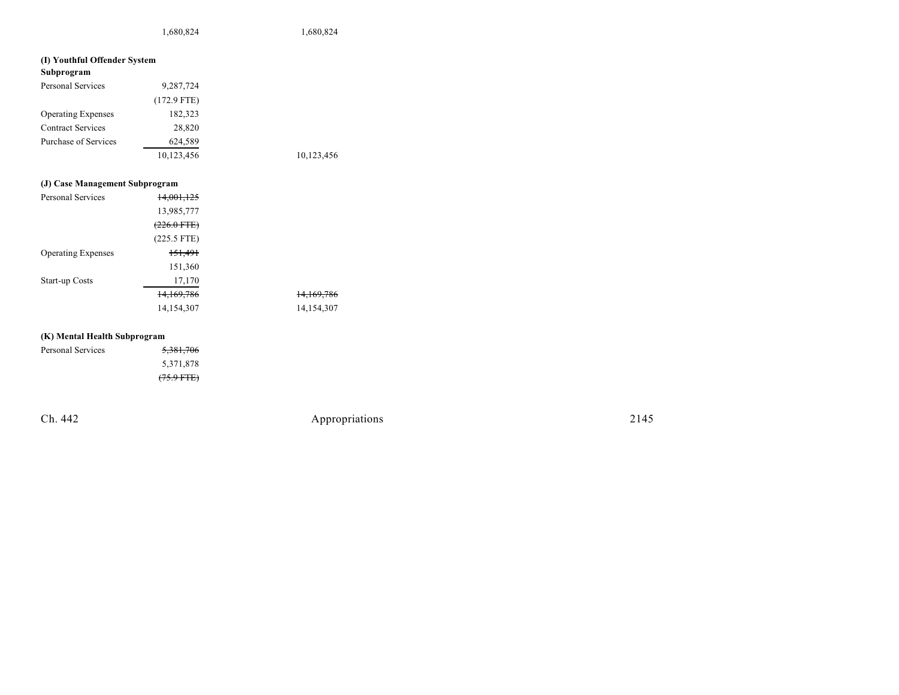1,680,824 1,680,824

## **(I) Youthful Offender System**

| Subprogram                |               |            |
|---------------------------|---------------|------------|
| <b>Personal Services</b>  | 9,287,724     |            |
|                           | $(172.9$ FTE) |            |
| <b>Operating Expenses</b> | 182,323       |            |
| <b>Contract Services</b>  | 28,820        |            |
| Purchase of Services      | 624.589       |            |
|                           | 10,123,456    | 10,123,456 |

#### **(J) Case Manage men t S u b program**

| Personal Services         | 14,001,125    |                       |
|---------------------------|---------------|-----------------------|
|                           | 13,985,777    |                       |
|                           | (226.0 FTE)   |                       |
|                           | $(225.5$ FTE) |                       |
| <b>Operating Expenses</b> | 151,491       |                       |
|                           | 151,360       |                       |
| <b>Start-up Costs</b>     | 17,170        |                       |
|                           | 14,169,786    | <del>14,169,786</del> |
|                           | 14,154,307    | 14,154,307            |

#### **(K) Men tal Healt h S u b program**

| <b>Personal Services</b> | 5,381,706    |
|--------------------------|--------------|
|                          | 5,371,878    |
|                          | $(75.9$ FTE) |

Ch. 442

Appropr iat

ions 2145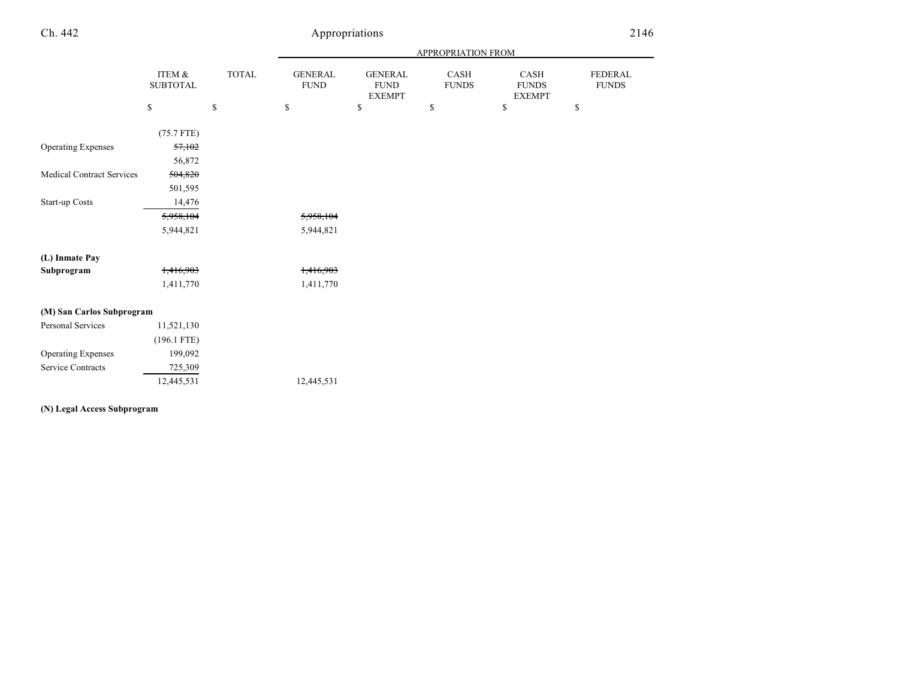|                                  |                           |              | APPROPRIATION FROM            |                                                |                      |                                       |                         |  |
|----------------------------------|---------------------------|--------------|-------------------------------|------------------------------------------------|----------------------|---------------------------------------|-------------------------|--|
|                                  | ITEM &<br><b>SUBTOTAL</b> | TOTAL        | <b>GENERAL</b><br><b>FUND</b> | <b>GENERAL</b><br><b>FUND</b><br><b>EXEMPT</b> | CASH<br><b>FUNDS</b> | CASH<br><b>FUNDS</b><br><b>EXEMPT</b> | FEDERAL<br><b>FUNDS</b> |  |
|                                  | \$                        | $\mathbb{S}$ | $\mathbb{S}$                  | \$                                             | $\mathbb{S}$         | $\mathbb{S}$                          | \$                      |  |
|                                  | $(75.7$ FTE)              |              |                               |                                                |                      |                                       |                         |  |
| <b>Operating Expenses</b>        | 57,102                    |              |                               |                                                |                      |                                       |                         |  |
|                                  | 56,872                    |              |                               |                                                |                      |                                       |                         |  |
| <b>Medical Contract Services</b> | 504,820                   |              |                               |                                                |                      |                                       |                         |  |
|                                  | 501,595                   |              |                               |                                                |                      |                                       |                         |  |
| Start-up Costs                   | 14,476                    |              |                               |                                                |                      |                                       |                         |  |
|                                  | 5,958,104                 |              | 5,958,104                     |                                                |                      |                                       |                         |  |
|                                  | 5,944,821                 |              | 5,944,821                     |                                                |                      |                                       |                         |  |
|                                  |                           |              |                               |                                                |                      |                                       |                         |  |
| (L) Inmate Pay                   |                           |              |                               |                                                |                      |                                       |                         |  |
| Subprogram                       | 1,416,903                 |              | 1,416,903                     |                                                |                      |                                       |                         |  |
|                                  | 1,411,770                 |              | 1,411,770                     |                                                |                      |                                       |                         |  |
|                                  |                           |              |                               |                                                |                      |                                       |                         |  |
| (M) San Carlos Subprogram        |                           |              |                               |                                                |                      |                                       |                         |  |
| Personal Services                | 11,521,130                |              |                               |                                                |                      |                                       |                         |  |
|                                  | $(196.1$ FTE)             |              |                               |                                                |                      |                                       |                         |  |
| <b>Operating Expenses</b>        | 199,092                   |              |                               |                                                |                      |                                       |                         |  |
| <b>Service Contracts</b>         | 725,309                   |              |                               |                                                |                      |                                       |                         |  |
|                                  | 12,445,531                |              | 12,445,531                    |                                                |                      |                                       |                         |  |
|                                  |                           |              |                               |                                                |                      |                                       |                         |  |

## **(N) Legal Access Subprogram**

a.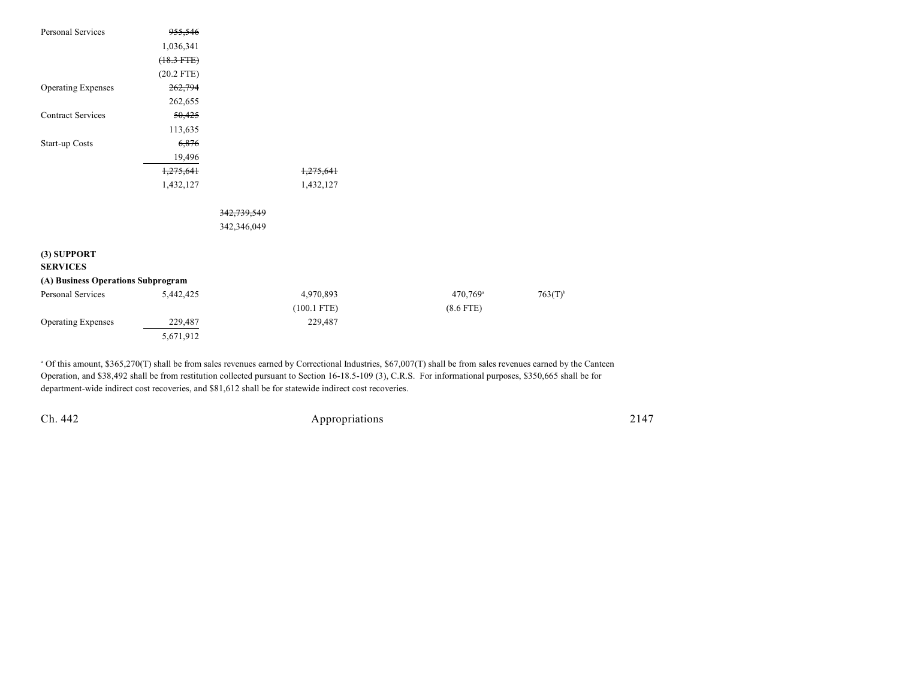| Personal Services                  | <del>955,546</del> |             |               |                      |                       |
|------------------------------------|--------------------|-------------|---------------|----------------------|-----------------------|
|                                    | 1,036,341          |             |               |                      |                       |
|                                    | $(18.3$ FTE)       |             |               |                      |                       |
|                                    | $(20.2$ FTE)       |             |               |                      |                       |
| <b>Operating Expenses</b>          | 262,794            |             |               |                      |                       |
|                                    | 262,655            |             |               |                      |                       |
| <b>Contract Services</b>           | 50,425             |             |               |                      |                       |
|                                    | 113,635            |             |               |                      |                       |
| Start-up Costs                     | 6,876              |             |               |                      |                       |
|                                    | 19,496             |             |               |                      |                       |
|                                    | 1,275,641          |             | 1,275,641     |                      |                       |
|                                    | 1,432,127          |             | 1,432,127     |                      |                       |
|                                    |                    | 342,739,549 |               |                      |                       |
|                                    |                    | 342,346,049 |               |                      |                       |
| (3) SUPPORT                        |                    |             |               |                      |                       |
| <b>SERVICES</b>                    |                    |             |               |                      |                       |
| (A) Business Operations Subprogram |                    |             |               |                      |                       |
| Personal Services                  | 5,442,425          |             | 4,970,893     | 470,769 <sup>a</sup> | $763(T)$ <sup>b</sup> |
|                                    |                    |             | $(100.1$ FTE) | $(8.6$ FTE)          |                       |
| <b>Operating Expenses</b>          | 229,487            |             | 229,487       |                      |                       |
|                                    | 5,671,912          |             |               |                      |                       |

 Of this amount, \$365,270(T) shall be from sales revenues earned by Correctional Industries, \$67,007(T) shall be from sales revenues earned by the Canteen <sup>a</sup> Operation, and \$38,492 shall be from restitution collected pursuant to Section 16-18.5-109 (3), C.R.S. For informational purposes, \$350,665 shall be for department-wide indirect cost recoveries, and \$81,612 shall be for statewide indirect cost recoveries.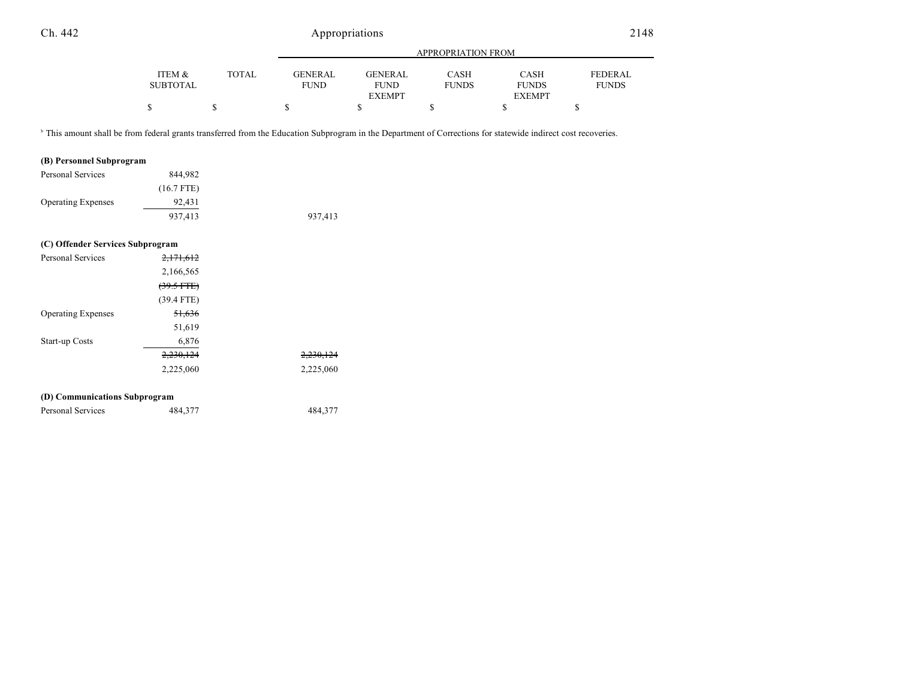|                 |              | APPROPRIATION FROM |                |              |               |                |
|-----------------|--------------|--------------------|----------------|--------------|---------------|----------------|
| ITEM &          | <b>TOTAL</b> | GENERAL            | <b>GENERAL</b> | CASH         | <b>CASH</b>   | <b>FEDERAL</b> |
| <b>SUBTOTAL</b> |              | <b>FUND</b>        | <b>FUND</b>    | <b>FUNDS</b> | <b>FUNDS</b>  | <b>FUNDS</b>   |
|                 |              |                    | <b>EXEMPT</b>  |              | <b>EXEMPT</b> |                |
|                 |              |                    |                |              |               |                |

<sup>b</sup> This amount shall be from federal grants transferred from the Education Subprogram in the Department of Corrections for statewide indirect cost recoveries.

#### **(B) Personnel Subprogram**

| Personal Services         | 844.982      |         |
|---------------------------|--------------|---------|
|                           | $(16.7$ FTE) |         |
| <b>Operating Expenses</b> | 92,431       |         |
|                           | 937,413      | 937,413 |

#### **(C) Offender Services Subprogram**

| Personal Services             | 2,171,612            |           |
|-------------------------------|----------------------|-----------|
|                               | 2,166,565            |           |
|                               | $(39.5 \text{ FFE})$ |           |
|                               | $(39.4$ FTE)         |           |
| <b>Operating Expenses</b>     | 51,636               |           |
|                               | 51,619               |           |
| <b>Start-up Costs</b>         | 6,876                |           |
|                               | 2,230,124            | 2,230,124 |
|                               | 2,225,060            | 2,225,060 |
|                               |                      |           |
| (D) Communications Subprogram |                      |           |

| Personal Services | 484,377 | 484,377 |
|-------------------|---------|---------|
|-------------------|---------|---------|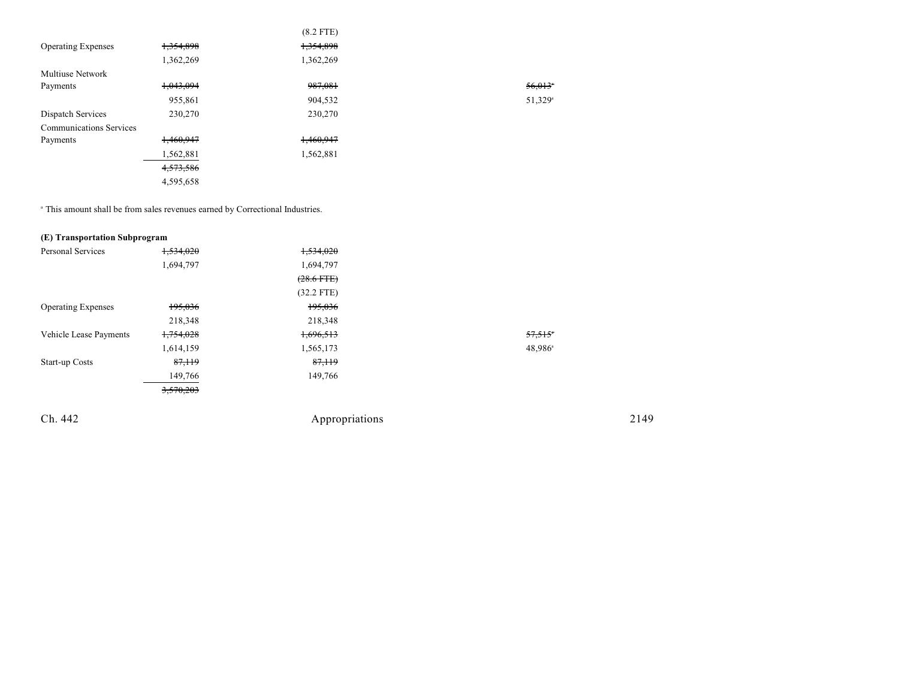|                                |           | $(8.2$ FTE) |                       |
|--------------------------------|-----------|-------------|-----------------------|
| <b>Operating Expenses</b>      | 1,354,898 | 1,354,898   |                       |
|                                | 1,362,269 | 1,362,269   |                       |
| <b>Multiuse Network</b>        |           |             |                       |
| Payments                       | 1,043,094 | 987,081     | $56,013$ <sup>*</sup> |
|                                | 955,861   | 904,532     | 51,329 <sup>a</sup>   |
| Dispatch Services              | 230,270   | 230,270     |                       |
| <b>Communications Services</b> |           |             |                       |
| Payments                       | 1,460,947 | 1,460,947   |                       |
|                                | 1,562,881 | 1,562,881   |                       |
|                                | 4,573,586 |             |                       |
|                                | 4,595,658 |             |                       |
|                                |           |             |                       |

This amount shall be from sales revenues earned by Correctional Industries. <sup>a</sup>

## **(E) Transportation Subprogram**

| 1,534,020 | 1,534,020       |        |
|-----------|-----------------|--------|
| 1,694,797 | 1,694,797       |        |
|           | $(28.6$ FTE $)$ |        |
|           | $(32.2$ FTE)    |        |
| 195,036   | 195,036         |        |
| 218,348   | 218,348         |        |
| 1,754,028 | 1,696,513       | 57,515 |
| 1,614,159 | 1,565,173       | 48,986 |
| 87,119    | 87,119          |        |
| 149,766   | 149,766         |        |
| 3,570,203 |                 |        |
|           |                 |        |
|           |                 |        |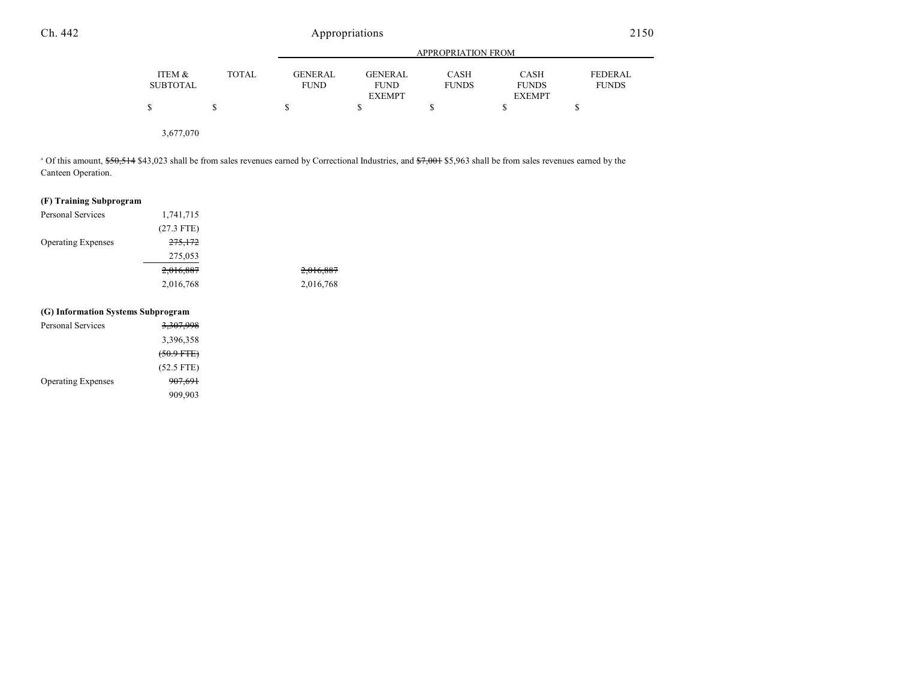|                           |              |                               | <b>APPROPRIATION FROM</b>     |                      |                             |                         |
|---------------------------|--------------|-------------------------------|-------------------------------|----------------------|-----------------------------|-------------------------|
| ITEM &<br><b>SUBTOTAL</b> | <b>TOTAL</b> | <b>GENERAL</b><br><b>FUND</b> | <b>GENERAL</b><br><b>FUND</b> | CASH<br><b>FUNDS</b> | <b>CASH</b><br><b>FUNDS</b> | FEDERAL<br><b>FUNDS</b> |
|                           |              |                               | <b>EXEMPT</b>                 |                      | <b>EXEMPT</b>               |                         |
|                           |              | S                             |                               |                      | S                           |                         |
|                           |              |                               |                               |                      |                             |                         |
| 3,677,070                 |              |                               |                               |                      |                             |                         |

<sup>a</sup> Of this amount, \$50,514 \$43,023 shall be from sales revenues earned by Correctional Industries, and \$7,001 \$5,963 shall be from sales revenues earned by the Canteen Operation.

## **(F) Training Subprogram**

| <b>Personal Services</b>  | 1,741,715          |           |
|---------------------------|--------------------|-----------|
|                           | $(27.3$ FTE)       |           |
| <b>Operating Expenses</b> | <del>275,172</del> |           |
|                           | 275,053            |           |
|                           | 2,016,887          | 2,016,887 |
|                           | 2,016,768          | 2,016,768 |
|                           |                    |           |

## **(G) Information Systems Subprogram**

| Personal Services         | 3,307,998          |
|---------------------------|--------------------|
|                           | 3,396,358          |
|                           | $(50.9$ FTE $)$    |
|                           | $(52.5$ FTE)       |
| <b>Operating Expenses</b> | <del>907,691</del> |
|                           | 909,903            |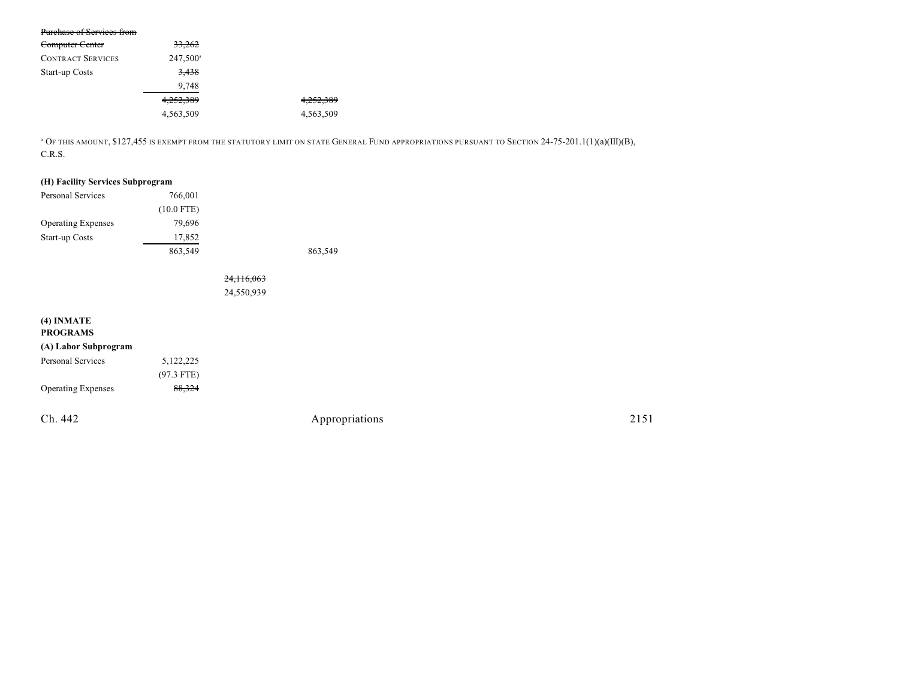| Purchase of Services from |                      |           |
|---------------------------|----------------------|-----------|
| Computer Center           | 33,262               |           |
| <b>CONTRACT SERVICES</b>  | 247,500 <sup>a</sup> |           |
| Start-up Costs            | 3,438                |           |
|                           | 9,748                |           |
|                           | 4,252,389            | 4,252,389 |
|                           | 4,563,509            | 4,563,509 |

<sup>a</sup> Of this amount, \$127,455 is exempt from the statutory limit on state General Fund appropriations pursuant to Section 24-75-201.1(1)(a)(III)(B), C.R.S.

## **(H) Facility Services Subprogram**

| 766,001      |         |
|--------------|---------|
| $(10.0$ FTE) |         |
| 79.696       |         |
| 17,852       |         |
| 863,549      | 863,549 |
|              |         |

24,116,063 24,550,939

| $(4)$ INMATE<br><b>PROGRAMS</b> |              |                |      |
|---------------------------------|--------------|----------------|------|
| (A) Labor Subprogram            |              |                |      |
| Personal Services               | 5,122,225    |                |      |
|                                 | $(97.3$ FTE) |                |      |
| <b>Operating Expenses</b>       | 88,324       |                |      |
| Ch. 442                         |              | Appropriations | 2151 |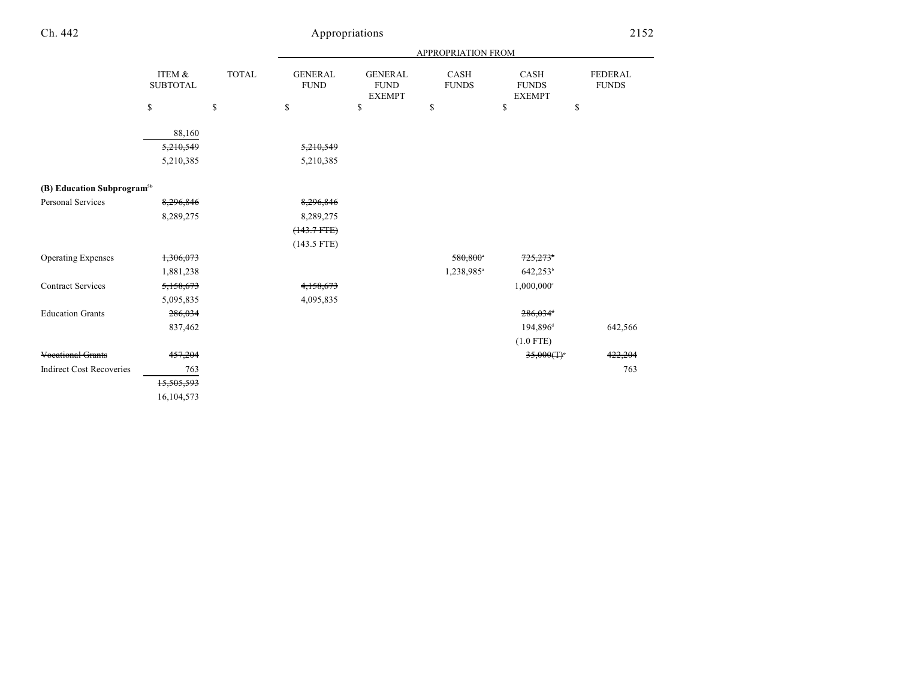|                                        |                            |       | <b>APPROPRIATION FROM</b>     |                                                |                        |                                       |                                |  |
|----------------------------------------|----------------------------|-------|-------------------------------|------------------------------------------------|------------------------|---------------------------------------|--------------------------------|--|
|                                        | ITEM &<br>${\tt SUBTOTAL}$ | TOTAL | <b>GENERAL</b><br><b>FUND</b> | <b>GENERAL</b><br><b>FUND</b><br><b>EXEMPT</b> | CASH<br><b>FUNDS</b>   | CASH<br><b>FUNDS</b><br><b>EXEMPT</b> | <b>FEDERAL</b><br><b>FUNDS</b> |  |
|                                        | \$                         | \$    | \$                            | \$                                             | \$                     | \$                                    | \$                             |  |
|                                        | 88,160                     |       |                               |                                                |                        |                                       |                                |  |
|                                        | 5,210,549                  |       | 5,210,549                     |                                                |                        |                                       |                                |  |
|                                        | 5,210,385                  |       | 5,210,385                     |                                                |                        |                                       |                                |  |
| (B) Education Subprogram <sup>5b</sup> |                            |       |                               |                                                |                        |                                       |                                |  |
| <b>Personal Services</b>               | 8,296,846                  |       | 8,296,846                     |                                                |                        |                                       |                                |  |
|                                        | 8,289,275                  |       | 8,289,275                     |                                                |                        |                                       |                                |  |
|                                        |                            |       | $(143.7 + TE)$                |                                                |                        |                                       |                                |  |
|                                        |                            |       | $(143.5$ FTE)                 |                                                |                        |                                       |                                |  |
| <b>Operating Expenses</b>              | 1,306,073                  |       |                               |                                                | 580.800*               | 725,273 <sup>*</sup>                  |                                |  |
|                                        | 1,881,238                  |       |                               |                                                | 1,238,985 <sup>a</sup> | 642,253 <sup>b</sup>                  |                                |  |
| <b>Contract Services</b>               | 5,158,673                  |       | 4,158,673                     |                                                |                        | $1,000,000$ <sup>c</sup>              |                                |  |
|                                        | 5,095,835                  |       | 4,095,835                     |                                                |                        |                                       |                                |  |
| <b>Education Grants</b>                | 286,034                    |       |                               |                                                |                        | 286,034 <sup>+</sup>                  |                                |  |
|                                        | 837,462                    |       |                               |                                                |                        | 194,896 <sup>d</sup>                  | 642,566                        |  |
|                                        |                            |       |                               |                                                |                        | $(1.0$ FTE)                           |                                |  |
| <b>Vocational Grants</b>               | 457,204                    |       |                               |                                                |                        | 35,000(T)                             | 422,204                        |  |
| <b>Indirect Cost Recoveries</b>        | 763                        |       |                               |                                                |                        |                                       | 763                            |  |
|                                        | 15,505,593                 |       |                               |                                                |                        |                                       |                                |  |
|                                        | 16,104,573                 |       |                               |                                                |                        |                                       |                                |  |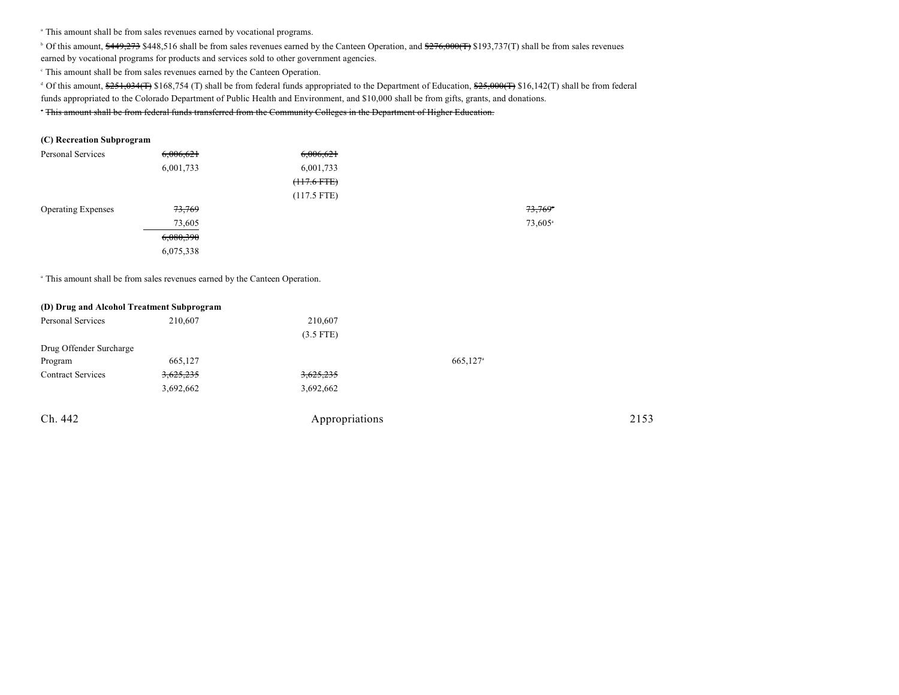<sup>a</sup> This amount shall be from sales revenues earned by vocational programs.

<sup>b</sup> Of this amount, \$449,273 \$448,516 shall be from sales revenues earned by the Canteen Operation, and \$276,000(T) \$193,737(T) shall be from sales revenues

earned by vocational programs for products and services sold to other government agencies.

This amount shall be from sales revenues earned by the Canteen Operation. <sup>c</sup>

<sup>d</sup> Of this amount, \$251,034(T) \$168,754 (T) shall be from federal funds appropriated to the Department of Education, \$25,000(T) \$16,142(T) shall be from federal funds appropriated to the Colorado Department of Public Health and Environment, and \$10,000 shall be from gifts, grants, and donations.

<sup>T</sup> This amount shall be from federal funds transferred from the Community Colleges in the Department of Higher Education.

#### **(C) Recreation Subprogram**

| <b>Personal Services</b>  | 6,006,621 | 6,006,621     |                     |
|---------------------------|-----------|---------------|---------------------|
|                           | 6,001,733 | 6,001,733     |                     |
|                           |           | $(117.6$ FTE) |                     |
|                           |           | $(117.5$ FTE) |                     |
| <b>Operating Expenses</b> | 73,769    |               | 73,769              |
|                           | 73,605    |               | 73,605 <sup>a</sup> |
|                           | 6,080,390 |               |                     |
|                           | 6,075,338 |               |                     |

<sup>a</sup> This amount shall be from sales revenues earned by the Canteen Operation.

| (D) Drug and Alcohol Treatment Subprogram |           |                |                      |      |
|-------------------------------------------|-----------|----------------|----------------------|------|
| Personal Services                         | 210,607   | 210,607        |                      |      |
|                                           |           | $(3.5$ FTE)    |                      |      |
| Drug Offender Surcharge                   |           |                |                      |      |
| Program                                   | 665,127   |                | 665,127 <sup>a</sup> |      |
| <b>Contract Services</b>                  | 3,625,235 | 3,625,235      |                      |      |
|                                           | 3,692,662 | 3,692,662      |                      |      |
| Ch. 442                                   |           | Appropriations |                      | 2153 |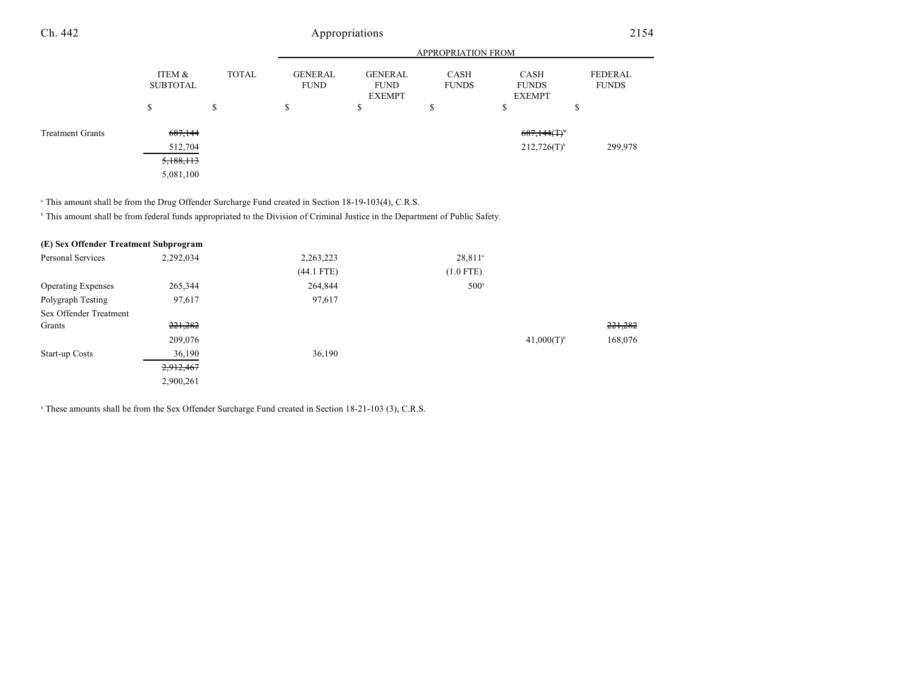#### APPROPRIATION FROM ITEM & SUBTOTAL TOTAL GENERAL FUND GENERAL FUND EXEMPT CASH FUNDS CASH FUNDS EXEMPT FEDERAL FUNDS  $\texttt{s}$   $\texttt{s}$   $\texttt{s}$   $\texttt{s}$   $\texttt{s}$   $\texttt{s}$ Ch. 442 Appropriations 2154 Treatment Grants  $687,144$   $687,144$   $687,144$   $687,144$   $687,144$   $687,144$   $687,144$   $687,144$   $687,144$   $687,144$   $687,144$   $687,144$   $687,144$   $687,144$   $687,144$   $687,144$   $687,144$   $687,144$   $687,144$   $687,144$   $687$  $512,704$  299,978 212,726(T)<sup>6</sup> 299,978 5,188,113

<sup>a</sup> This amount shall be from the Drug Offender Surcharge Fund created in Section 18-19-103(4), C.R.S.

5,081,100

<sup>h</sup> This amount shall be from federal funds appropriated to the Division of Criminal Justice in the Department of Public Safety.

| (E) Sex Offender Treatment Subprogram |           |              |                       |                 |         |
|---------------------------------------|-----------|--------------|-----------------------|-----------------|---------|
| <b>Personal Services</b>              | 2,292,034 | 2,263,223    | $28,811$ <sup>a</sup> |                 |         |
|                                       |           | $(44.1$ FTE) | $(1.0$ FTE)           |                 |         |
| <b>Operating Expenses</b>             | 265,344   | 264,844      | $500^{\circ}$         |                 |         |
| Polygraph Testing                     | 97,617    | 97,617       |                       |                 |         |
| Sex Offender Treatment                |           |              |                       |                 |         |
| Grants                                | 221,282   |              |                       |                 | 221,282 |
|                                       | 209,076   |              |                       | $41,000(T)^{b}$ | 168,076 |
| Start-up Costs                        | 36,190    | 36,190       |                       |                 |         |
|                                       | 2,912,467 |              |                       |                 |         |
|                                       | 2,900,261 |              |                       |                 |         |
|                                       |           |              |                       |                 |         |

<sup>a</sup> These amounts shall be from the Sex Offender Surcharge Fund created in Section 18-21-103 (3), C.R.S.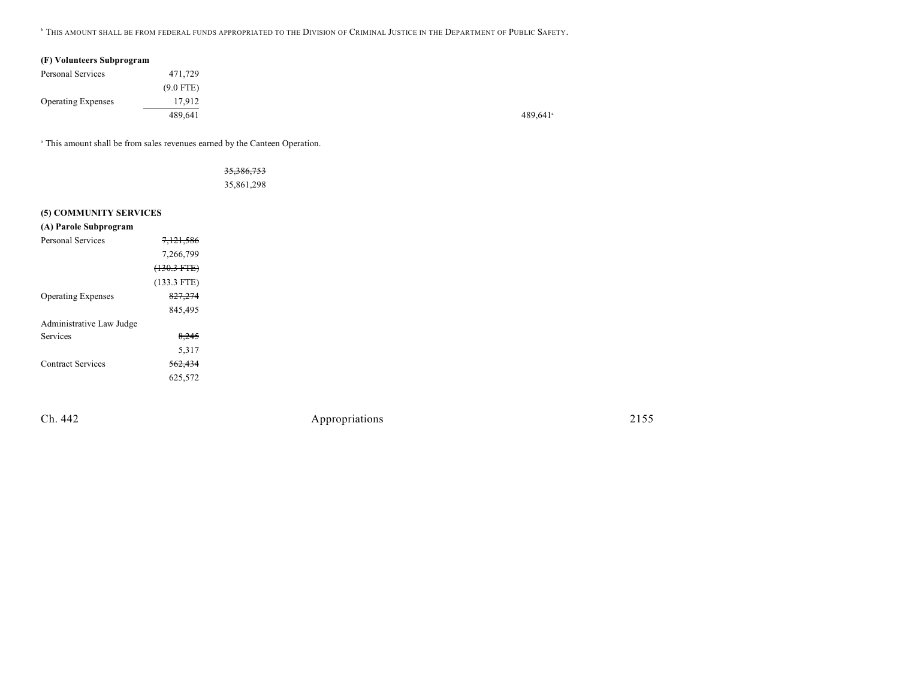**.** This amount shall be from federal funds appropriated to the Division of Criminal Justice in the Department of Public Safety.

|  | (F) Volunteers Subprogram |  |  |
|--|---------------------------|--|--|
|--|---------------------------|--|--|

| Personal Services         | 471,729     |
|---------------------------|-------------|
|                           | $(9.0$ FTE) |
| <b>Operating Expenses</b> | 17.912      |
|                           | 489.641     |

<sup>a</sup> This amount shall be from sales revenues earned by the Canteen Operation.

35,386,753 35,861,298

#### **(5) COMMUNITY SERVICES**

| (A) Parole Subprogram     |                      |
|---------------------------|----------------------|
| Personal Services         | <del>7.121.586</del> |
|                           | 7,266,799            |
|                           | $(130.3 FTE)$        |
|                           | $(133.3$ FTE)        |
| <b>Operating Expenses</b> | 827,274              |
|                           | 845,495              |
| Administrative Law Judge  |                      |
| Services                  | 8,245                |
|                           | 5,317                |
| <b>Contract Services</b>  | <del>562,434</del>   |
|                           | 625.572              |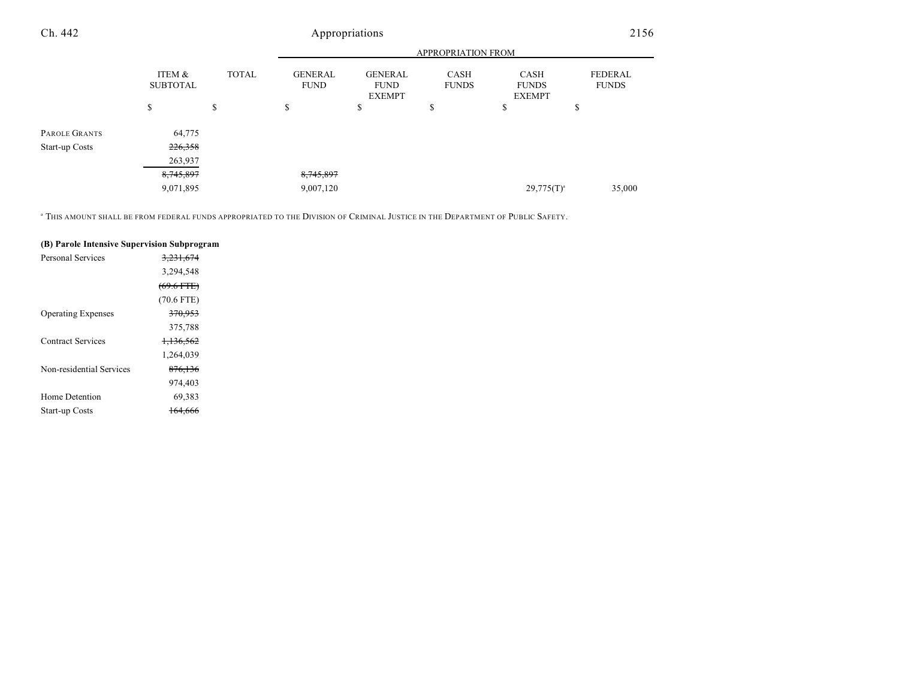|                |                           |              | <b>APPROPRIATION FROM</b>     |                                                |                             |                                       |                                |  |
|----------------|---------------------------|--------------|-------------------------------|------------------------------------------------|-----------------------------|---------------------------------------|--------------------------------|--|
|                | ITEM &<br><b>SUBTOTAL</b> | <b>TOTAL</b> | <b>GENERAL</b><br><b>FUND</b> | <b>GENERAL</b><br><b>FUND</b><br><b>EXEMPT</b> | <b>CASH</b><br><b>FUNDS</b> | CASH<br><b>FUNDS</b><br><b>EXEMPT</b> | <b>FEDERAL</b><br><b>FUNDS</b> |  |
|                | \$                        | \$           | \$                            | \$                                             | \$                          | \$                                    | Ф                              |  |
| PAROLE GRANTS  | 64,775                    |              |                               |                                                |                             |                                       |                                |  |
| Start-up Costs | 226,358                   |              |                               |                                                |                             |                                       |                                |  |
|                | 263,937                   |              |                               |                                                |                             |                                       |                                |  |
|                | 8,745,897                 |              | 8,745,897                     |                                                |                             |                                       |                                |  |
|                | 9,071,895                 |              | 9,007,120                     |                                                |                             | $29,775(T)^{a}$                       | 35,000                         |  |

 $\degree$  This amount shall be from federal funds appropriated to the Division of Criminal Justice in the Department of Public Safety.

#### **(B) Parole Intensive Supervision Subprogram**

| <del>3.231.674</del> |  |
|----------------------|--|
| 3,294,548            |  |
| $(69.6$ FTE)         |  |
| $(70.6$ FTE)         |  |
| <del>370,953</del>   |  |
| 375,788              |  |
| 1,136,562            |  |
| 1,264,039            |  |
| <del>876,136</del>   |  |
| 974,403              |  |
| 69,383               |  |
|                      |  |
|                      |  |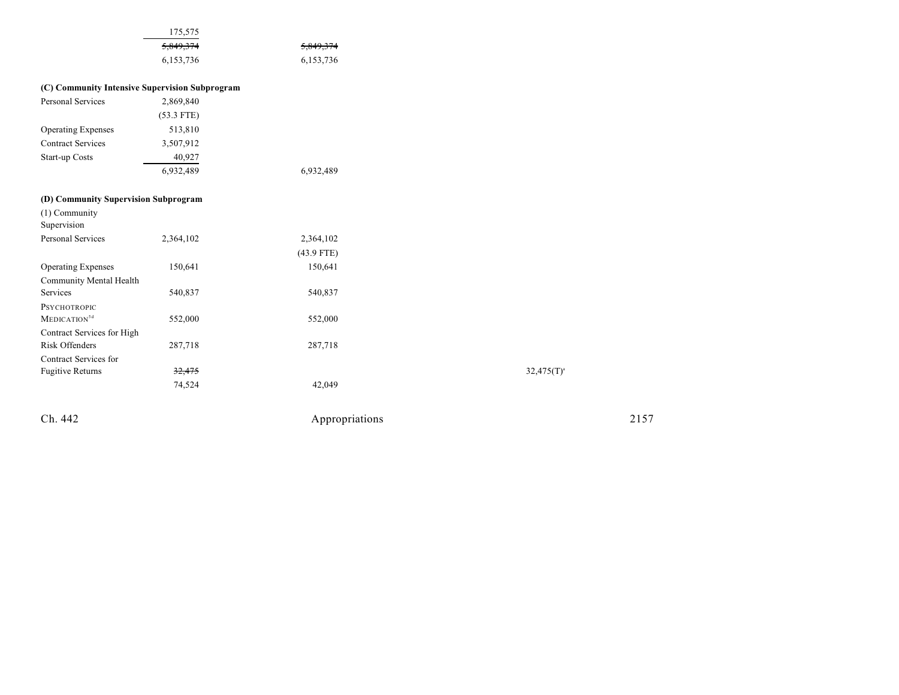|                                      | 175,575                                        |              |                 |
|--------------------------------------|------------------------------------------------|--------------|-----------------|
|                                      | 5,849,374                                      | 5,849,374    |                 |
|                                      | 6,153,736                                      | 6,153,736    |                 |
|                                      | (C) Community Intensive Supervision Subprogram |              |                 |
| <b>Personal Services</b>             | 2,869,840                                      |              |                 |
|                                      | $(53.3$ FTE)                                   |              |                 |
| <b>Operating Expenses</b>            | 513,810                                        |              |                 |
| <b>Contract Services</b>             | 3,507,912                                      |              |                 |
| Start-up Costs                       | 40,927                                         |              |                 |
|                                      | 6,932,489                                      | 6,932,489    |                 |
| (D) Community Supervision Subprogram |                                                |              |                 |
| (1) Community<br>Supervision         |                                                |              |                 |
| Personal Services                    | 2,364,102                                      | 2,364,102    |                 |
|                                      |                                                | $(43.9$ FTE) |                 |
| <b>Operating Expenses</b>            | 150,641                                        | 150,641      |                 |
| Community Mental Health              |                                                |              |                 |
| Services                             | 540,837                                        | 540,837      |                 |
| PSYCHOTROPIC                         |                                                |              |                 |
| MEDICATION <sup>5d</sup>             | 552,000                                        | 552,000      |                 |
| Contract Services for High           |                                                |              |                 |
| <b>Risk Offenders</b>                | 287,718                                        | 287,718      |                 |
| Contract Services for                |                                                |              |                 |
| <b>Fugitive Returns</b>              |                                                |              |                 |
|                                      | 32,475                                         |              | $32,475(T)^{4}$ |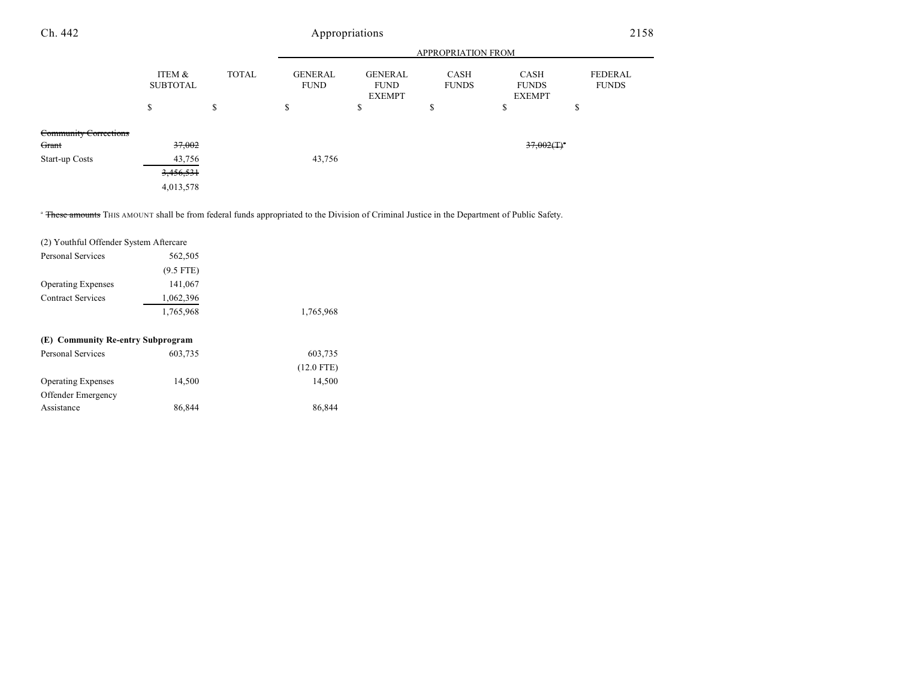| Ch. 442                      |                           |              | Appropriations                |                                                |                      |                                       | 2158                    |
|------------------------------|---------------------------|--------------|-------------------------------|------------------------------------------------|----------------------|---------------------------------------|-------------------------|
|                              |                           |              |                               |                                                | APPROPRIATION FROM   |                                       |                         |
|                              | ITEM &<br><b>SUBTOTAL</b> | <b>TOTAL</b> | <b>GENERAL</b><br><b>FUND</b> | <b>GENERAL</b><br><b>FUND</b><br><b>EXEMPT</b> | CASH<br><b>FUNDS</b> | CASH<br><b>FUNDS</b><br><b>EXEMPT</b> | FEDERAL<br><b>FUNDS</b> |
|                              | Φ<br>ъ                    | S            | \$                            | ¢<br>Ф                                         | \$                   | ¢<br>Φ                                | \$                      |
| <b>Community Corrections</b> |                           |              |                               |                                                |                      |                                       |                         |
| Grant                        | 37,002                    |              |                               |                                                |                      | $37,002($ T) <sup>a</sup>             |                         |
| Start-up Costs               | 43,756                    |              | 43,756                        |                                                |                      |                                       |                         |
|                              | 3,456,531                 |              |                               |                                                |                      |                                       |                         |

<sup>a</sup> These amounts THIS AMOUNT shall be from federal funds appropriated to the Division of Criminal Justice in the Department of Public Safety.

| (2) Youthful Offender System Aftercare |             |              |
|----------------------------------------|-------------|--------------|
| Personal Services                      | 562,505     |              |
|                                        | $(9.5$ FTE) |              |
| <b>Operating Expenses</b>              | 141,067     |              |
| <b>Contract Services</b>               | 1,062,396   |              |
|                                        | 1,765,968   | 1,765,968    |
| (E) Community Re-entry Subprogram      |             |              |
| Personal Services                      | 603,735     | 603,735      |
|                                        |             | $(12.0$ FTE) |
| <b>Operating Expenses</b>              | 14,500      | 14,500       |
| <b>Offender Emergency</b>              |             |              |
| Assistance                             | 86,844      | 86,844       |

4,013,578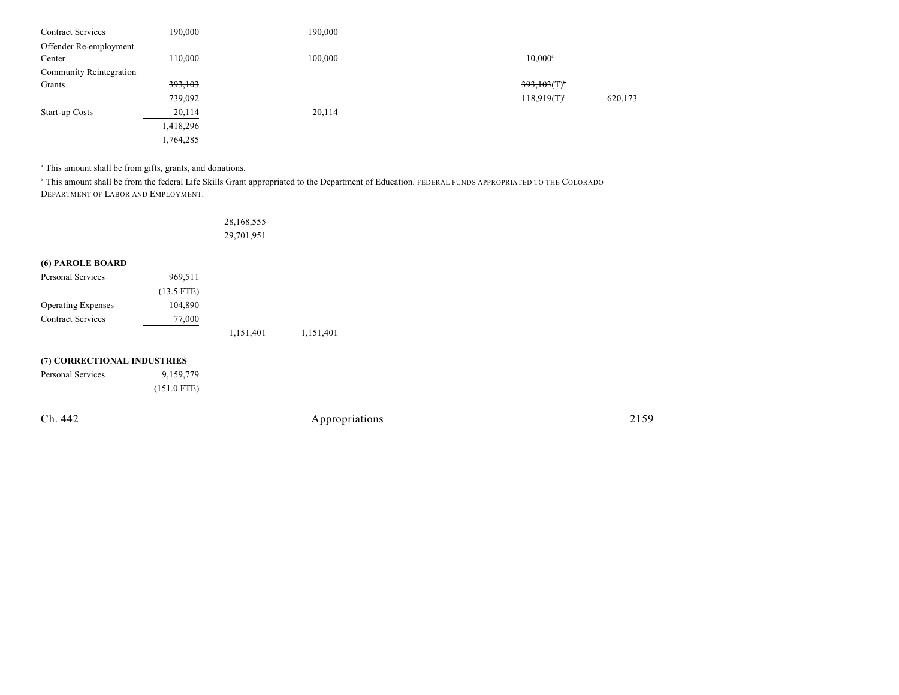| <b>Contract Services</b>       | 190,000   | 190,000 |                                      |
|--------------------------------|-----------|---------|--------------------------------------|
| Offender Re-employment         |           |         |                                      |
| Center                         | 110,000   | 100,000 | $10,000^{\circ}$                     |
| <b>Community Reintegration</b> |           |         |                                      |
| Grants                         | 393,103   |         | $393,103($ T) <sup>*</sup>           |
|                                | 739,092   |         | $118,919(T)$ <sup>b</sup><br>620,173 |
| Start-up Costs                 | 20,114    | 20,114  |                                      |
|                                | 1,418,296 |         |                                      |
|                                | 1,764,285 |         |                                      |

<sup>a</sup> This amount shall be from gifts, grants, and donations.

<sup>b</sup> This amount shall be from the federal Life Skills Grant appropriated to the Department of Education. FEDERAL FUNDS APPROPRIATED TO THE COLORADO DEPARTMENT OF LABOR AND EMPLOYMENT.

|                             |               | 28,168,555 |                |  |
|-----------------------------|---------------|------------|----------------|--|
|                             |               | 29,701,951 |                |  |
|                             |               |            |                |  |
| (6) PAROLE BOARD            |               |            |                |  |
| Personal Services           | 969,511       |            |                |  |
|                             | $(13.5$ FTE)  |            |                |  |
| <b>Operating Expenses</b>   | 104,890       |            |                |  |
| <b>Contract Services</b>    | 77,000        |            |                |  |
|                             |               | 1,151,401  | 1,151,401      |  |
| (7) CORRECTIONAL INDUSTRIES |               |            |                |  |
| Personal Services           | 9,159,779     |            |                |  |
|                             | $(151.0$ FTE) |            |                |  |
| Ch. 442                     |               |            | Appropriations |  |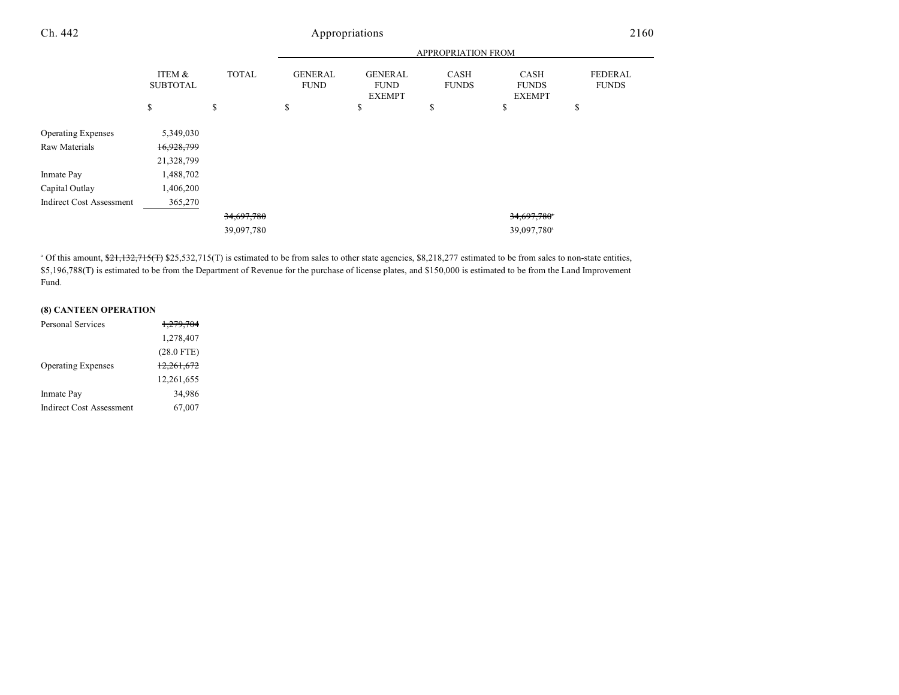| Ch. 442                         |                           |              |                               | Appropriations                                 |                      |                                              | 2160                    |  |
|---------------------------------|---------------------------|--------------|-------------------------------|------------------------------------------------|----------------------|----------------------------------------------|-------------------------|--|
|                                 |                           |              | APPROPRIATION FROM            |                                                |                      |                                              |                         |  |
|                                 | ITEM &<br><b>SUBTOTAL</b> | <b>TOTAL</b> | <b>GENERAL</b><br><b>FUND</b> | <b>GENERAL</b><br><b>FUND</b><br><b>EXEMPT</b> | CASH<br><b>FUNDS</b> | <b>CASH</b><br><b>FUNDS</b><br><b>EXEMPT</b> | FEDERAL<br><b>FUNDS</b> |  |
|                                 | S                         | \$           | \$                            | \$                                             | \$                   | \$                                           | \$                      |  |
| <b>Operating Expenses</b>       | 5,349,030                 |              |                               |                                                |                      |                                              |                         |  |
| Raw Materials                   | 16,928,799                |              |                               |                                                |                      |                                              |                         |  |
|                                 | 21,328,799                |              |                               |                                                |                      |                                              |                         |  |
| Inmate Pay                      | 1,488,702                 |              |                               |                                                |                      |                                              |                         |  |
| Capital Outlay                  | 1,406,200                 |              |                               |                                                |                      |                                              |                         |  |
| <b>Indirect Cost Assessment</b> | 365,270                   |              |                               |                                                |                      |                                              |                         |  |
|                                 |                           | 34,697,780   |                               |                                                |                      | 34,697,780                                   |                         |  |
|                                 |                           | 39,097,780   |                               |                                                |                      | 39,097,780 <sup>a</sup>                      |                         |  |

 $^{\circ}$  Of this amount,  $\frac{621,132,715(T)}{25,532,715(T)}$  is estimated to be from sales to other state agencies, \$8,218,277 estimated to be from sales to non-state entities, \$5,196,788(T) is estimated to be from the Department of Revenue for the purchase of license plates, and \$150,000 is estimated to be from the Land Improvement Fund.

## **(8) CANTEEN OPERATION**

| Personal Services               | 1.279.704    |
|---------------------------------|--------------|
|                                 | 1,278,407    |
|                                 | $(28.0$ FTE) |
| <b>Operating Expenses</b>       | 12,261,672   |
|                                 | 12,261,655   |
| Inmate Pay                      | 34.986       |
| <b>Indirect Cost Assessment</b> | 67,007       |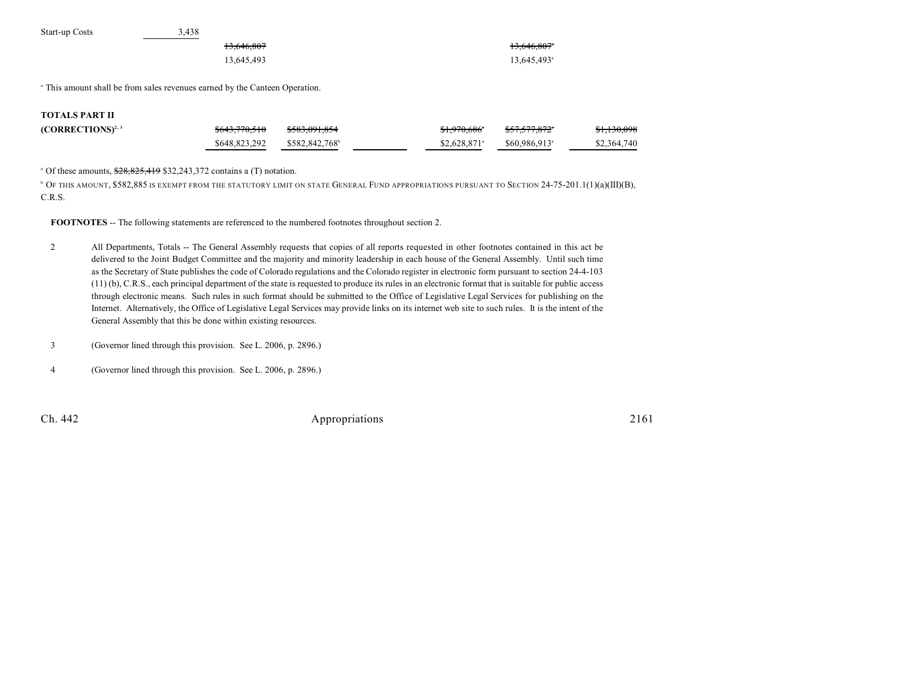| Start-up Costs | 3.438      |                         |
|----------------|------------|-------------------------|
|                | 13,646,807 | 13,646,807*             |
|                | 13.645.493 | 13.645.493 <sup>a</sup> |

<sup>a</sup> This amount shall be from sales revenues earned by the Canteen Operation.

#### **TOTALS PART II**

| $(CORRECTIONS)^{2,3}$ | <del>\$643,770,510</del>                   | <del>\$583,091,854</del> | \$1,970,686°              | <del>\$57,577,872</del> *  | <del>\$1,130,098</del> |
|-----------------------|--------------------------------------------|--------------------------|---------------------------|----------------------------|------------------------|
|                       | $$648,823,292$ $$582,842,768$ <sup>6</sup> |                          | $$2.628.871$ <sup>a</sup> | $$60.986.913$ <sup>a</sup> | \$2,364,740            |

 $^{\circ}$  Of these amounts,  $$28,825,419$  \$32,243,372 contains a (T) notation.

**DE THIS AMOUNT, \$582,885 IS EXEMPT FROM THE STATUTORY LIMIT ON STATE GENERAL FUND APPROPRIATIONS PURSUANT TO SECTION 24-75-201.1(1)(a)(III)(B),** C.R.S.

**FOOTNOTES** -- The following statements are referenced to the numbered footnotes throughout section 2.

- 2 All Departments, Totals -- The General Assembly requests that copies of all reports requested in other footnotes contained in this act be delivered to the Joint Budget Committee and the majority and minority leadership in each house of the General Assembly. Until such time as the Secretary of State publishes the code of Colorado regulations and the Colorado register in electronic form pursuant to section 24-4-103 (11) (b), C.R.S., each principal department of the state is requested to produce its rules in an electronic format that is suitable for public access through electronic means. Such rules in such format should be submitted to the Office of Legislative Legal Services for publishing on the Internet. Alternatively, the Office of Legislative Legal Services may provide links on its internet web site to such rules. It is the intent of the General Assembly that this be done within existing resources.
- 3 (Governor lined through this provision. See L. 2006, p. 2896.)
- 4 (Governor lined through this provision. See L. 2006, p. 2896.)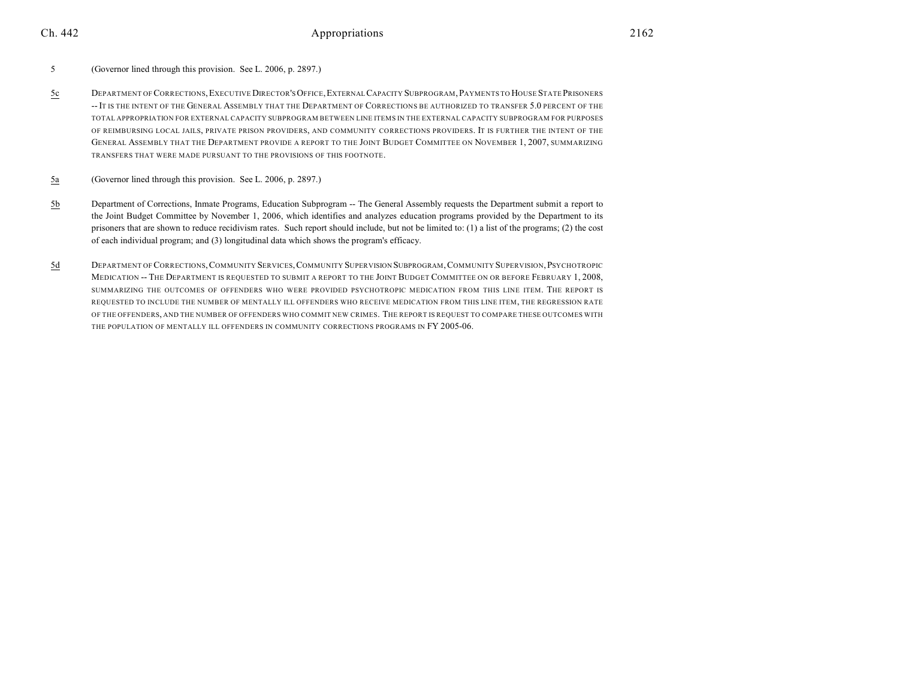- 5 (Governor lined through this provision. See L. 2006, p. 2897.)
- 5c DEPARTMENT OF CORRECTIONS,EXECUTIVE DIRECTOR'S OFFICE,EXTERNAL CAPACITY SUBPROGRAM,PAYMENTS TO HOUSE STATE PRISONERS -- IT IS THE INTENT OF THE GENERAL ASSEMBLY THAT THE DEPARTMENT OF CORRECTIONS BE AUTHORIZED TO TRANSFER 5.0 PERCENT OF THE TOTAL APPROPRIATION FOR EXTERNAL CAPACITY SUBPROGRAM BETWEEN LINE ITEMS IN THE EXTERNAL CAPACITY SUBPROGRAM FOR PURPOSES OF REIMBURSING LOCAL JAILS, PRIVATE PRISON PROVIDERS, AND COMMUNITY CORRECTIONS PROVIDERS. IT IS FURTHER THE INTENT OF THE GENERAL ASSEMBLY THAT THE DEPARTMENT PROVIDE A REPORT TO THE JOINT BUDGET COMMITTEE ON NOVEMBER 1, 2007, SUMMARIZING TRANSFERS THAT WERE MADE PURSUANT TO THE PROVISIONS OF THIS FOOTNOTE.
- 5a (Governor lined through this provision. See L. 2006, p. 2897.)
- 5b Department of Corrections, Inmate Programs, Education Subprogram -- The General Assembly requests the Department submit a report to the Joint Budget Committee by November 1, 2006, which identifies and analyzes education programs provided by the Department to its prisoners that are shown to reduce recidivism rates. Such report should include, but not be limited to: (1) a list of the programs; (2) the cost of each individual program; and (3) longitudinal data which shows the program's efficacy.
- 5d DEPARTMENT OF CORRECTIONS,COMMUNITY SERVICES,COMMUNITY SUPERVISION SUBPROGRAM,COMMUNITY SUPERVISION,PSYCHOTROPIC MEDICATION -- THE DEPARTMENT IS REQUESTED TO SUBMIT A REPORT TO THE JOINT BUDGET COMMITTEE ON OR BEFORE FEBRUARY 1, 2008, SUMMARIZING THE OUTCOMES OF OFFENDERS WHO WERE PROVIDED PSYCHOTROPIC MEDICATION FROM THIS LINE ITEM. THE REPORT IS REQUESTED TO INCLUDE THE NUMBER OF MENTALLY ILL OFFENDERS WHO RECEIVE MEDICATION FROM THIS LINE ITEM, THE REGRESSION RATE OF THE OFFENDERS, AND THE NUMBER OF OFFENDERS WHO COMMIT NEW CRIMES. THE REPORT IS REQUEST TO COMPARE THESE OUTCOMES WITH THE POPULATION OF MENTALLY ILL OFFENDERS IN COMMUNITY CORRECTIONS PROGRAMS IN FY 2005-06.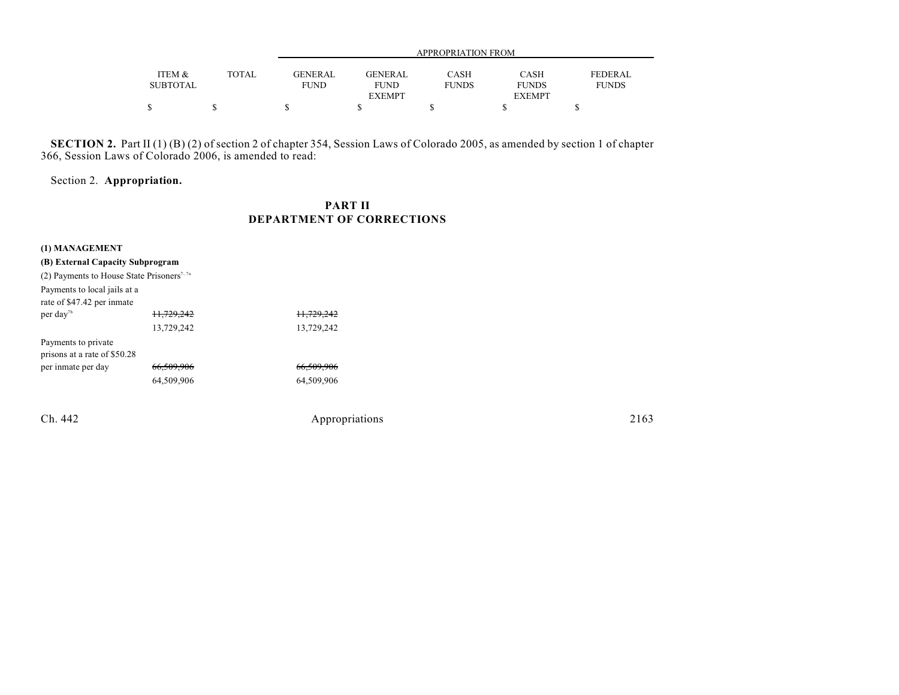|                           |       | APPROPRIATION FROM     |                        |                      |                             |                         |  |
|---------------------------|-------|------------------------|------------------------|----------------------|-----------------------------|-------------------------|--|
| ITEM &<br><b>SUBTOTAL</b> | TOTAL | GENERAL<br><b>FUND</b> | GENERAL<br><b>FUND</b> | CASH<br><b>FUNDS</b> | <b>CASH</b><br><b>FUNDS</b> | FEDERAL<br><b>FUNDS</b> |  |
|                           |       |                        | <b>EXEMPT</b>          |                      | <b>EXEMPT</b>               |                         |  |
|                           |       |                        |                        |                      |                             |                         |  |

**SECTION 2.** Part II (1) (B) (2) of section 2 of chapter 354, Session Laws of Colorado 2005, as amended by section 1 of chapter 366, Session Laws of Colorado 2006, is amended to read:

Section 2. **Appropriation.**

## **PART II DEPARTMENT OF CORRECTIONS**

| (B) External Capacity Subprogram                       |                       |                       |
|--------------------------------------------------------|-----------------------|-----------------------|
| (2) Payments to House State Prisoners <sup>7, 7a</sup> |                       |                       |
| Payments to local jails at a                           |                       |                       |
| rate of \$47.42 per inmate                             |                       |                       |
| per day <sup>7b</sup>                                  | 11.729.242            | <del>11.729.242</del> |
|                                                        | 13,729,242            | 13,729,242            |
| Payments to private                                    |                       |                       |
| prisons at a rate of \$50.28                           |                       |                       |
| per inmate per day                                     | <del>66.509.906</del> | <del>66.509.906</del> |
|                                                        | 64,509,906            | 64,509,906            |